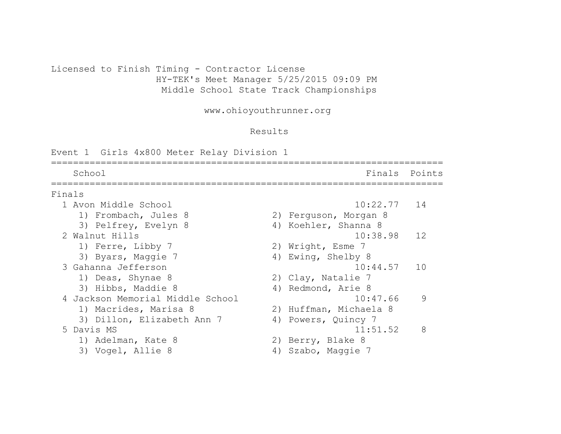### Licensed to Finish Timing - Contractor License HY-TEK's Meet Manager 5/25/2015 09:09 PM Middle School State Track Championships

www.ohioyouthrunner.org

#### Results

Event 1 Girls 4x800 Meter Relay Division 1

======================================================================= School **Finals** Points ======================================================================= Finals 1 Avon Middle School 10:22.77 14 1) Frombach, Jules 8 2) Ferguson, Morgan 8 3) Pelfrey, Evelyn 8 4) Koehler, Shanna 8 2 Walnut Hills 10:38.98 12 1) Ferre, Libby 7 2) Wright, Esme 7 3) Byars, Maggie 7 4) Ewing, Shelby 8 3 Gahanna Jefferson 10:44.57 10 1) Deas, Shynae 8 2) Clay, Natalie 7 3) Hibbs, Maddie 8 4) Redmond, Arie 8 4 Jackson Memorial Middle School 10:47.66 9 1) Macrides, Marisa 8 2) Huffman, Michaela 8 3) Dillon, Elizabeth Ann 7 4) Powers, Quincy 7 5 Davis MS 11:51.52 8 1) Adelman, Kate 8 2) Berry, Blake 8 3) Vogel, Allie 8 4) Szabo, Maggie 7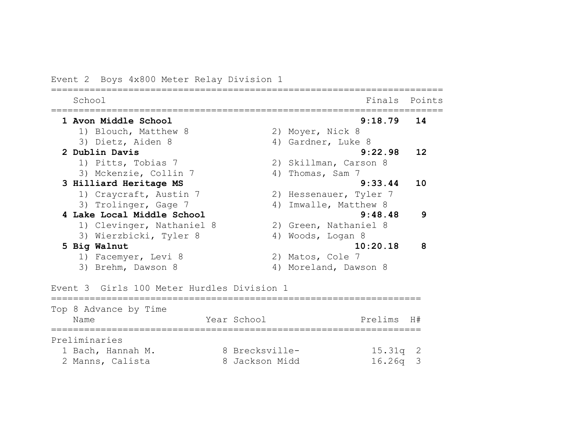# Event 2 Boys 4x800 Meter Relay Division 1

| School                                                |                | Finals                 | Points |
|-------------------------------------------------------|----------------|------------------------|--------|
| 1 Avon Middle School                                  |                | 9:18.79                | 14     |
| 1) Blouch, Matthew 8                                  |                | 2) Moyer, Nick 8       |        |
| 3) Dietz, Aiden 8                                     |                | 4) Gardner, Luke 8     |        |
| 2 Dublin Davis                                        |                | 9:22.98                | 12     |
| 1) Pitts, Tobias 7                                    |                | 2) Skillman, Carson 8  |        |
| 3) Mckenzie, Collin 7                                 | 4)             | Thomas, Sam 7          |        |
| 3 Hilliard Heritage MS                                |                | 9:33.44                | 10     |
| 1) Craycraft, Austin 7                                |                | 2) Hessenauer, Tyler 7 |        |
| 3) Trolinger, Gage 7                                  | 4)             | Imwalle, Matthew 8     |        |
| 4 Lake Local Middle School                            |                | 9:48.48                | 9      |
| 1) Clevinger, Nathaniel 8                             |                | 2) Green, Nathaniel 8  |        |
| 3) Wierzbicki, Tyler 8                                |                | 4) Woods, Logan 8      |        |
| 5 Big Walnut                                          |                | 10:20.18               | 8      |
| 1) Facemyer, Levi 8                                   |                | 2) Matos, Cole 7       |        |
| 3) Brehm, Dawson 8                                    |                | 4) Moreland, Dawson 8  |        |
|                                                       |                |                        |        |
| Event 3 Girls 100 Meter Hurdles Division 1            |                |                        |        |
| ----------------------------<br>Top 8 Advance by Time |                |                        |        |
| Name                                                  | Year School    | Prelims                | H#     |
|                                                       |                |                        |        |
| Preliminaries                                         |                |                        |        |
| 1 Bach, Hannah M.                                     | 8 Brecksville- | 15.31q                 | 2      |
| 2 Manns, Calista                                      | 8 Jackson Midd | 16.26q                 | 3      |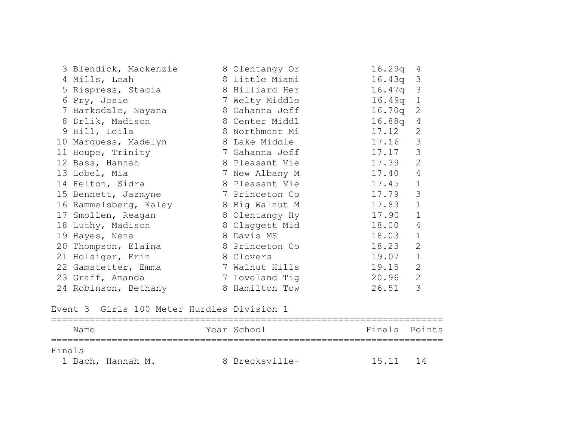| 3 Blendick, Mackenzie | 8 Olentangy Or | 16.29q     | $\overline{4}$ |
|-----------------------|----------------|------------|----------------|
| 4 Mills, Leah         | 8 Little Miami | $16.43q$ 3 |                |
| 5 Rispress, Stacia    | 8 Hilliard Her | $16.47q$ 3 |                |
| 6 Pry, Josie          | 7 Welty Middle | $16.49q$ 1 |                |
| 7 Barksdale, Nayana   | 8 Gahanna Jeff | $16.70q$ 2 |                |
| 8 Drlik, Madison      | 8 Center Middl | 16.88q     | 4              |
| 9 Hill, Leila         | 8 Northmont Mi | 17.12      | 2              |
| 10 Marquess, Madelyn  | 8 Lake Middle  | 17.16      | 3              |
| 11 Houpe, Trinity     | 7 Gahanna Jeff | 17.17      | 3              |
| 12 Bass, Hannah       | 8 Pleasant Vie | 17.39      | 2              |
| 13 Lobel, Mia         | 7 New Albany M | 17.40      | $\overline{4}$ |
| 14 Felton, Sidra      | 8 Pleasant Vie | 17.45      | $\mathbf{1}$   |
| 15 Bennett, Jazmyne   | 7 Princeton Co | 17.79      | 3              |
| 16 Rammelsberg, Kaley | 8 Big Walnut M | 17.83      | $\mathbf 1$    |
| 17 Smollen, Reagan    | 8 Olentangy Hy | 17.90      | $\mathbf{1}$   |
| 18 Luthy, Madison     | 8 Claggett Mid | 18.00      | $\overline{4}$ |
| 19 Hayes, Nena        | 8 Davis MS     | 18.03      | $\mathbf{1}$   |
| 20 Thompson, Elaina   | 8 Princeton Co | 18.23      | 2              |
| 21 Holsiger, Erin     | 8 Clovers      | 19.07      | $\mathbf{1}$   |
| 22 Gamstetter, Emma   | 7 Walnut Hills | 19.15      | 2              |
| 23 Graff, Amanda      | 7 Loveland Tig | 20.96      | 2              |
| 24 Robinson, Bethany  | 8 Hamilton Tow | 26.51      | 3              |

Event 3 Girls 100 Meter Hurdles Division 1

| Name   |                   | Year School    |       | Finals Points |
|--------|-------------------|----------------|-------|---------------|
| Finals |                   |                |       |               |
|        | 1 Bach, Hannah M. | 8 Brecksville- | 15.11 | $14$          |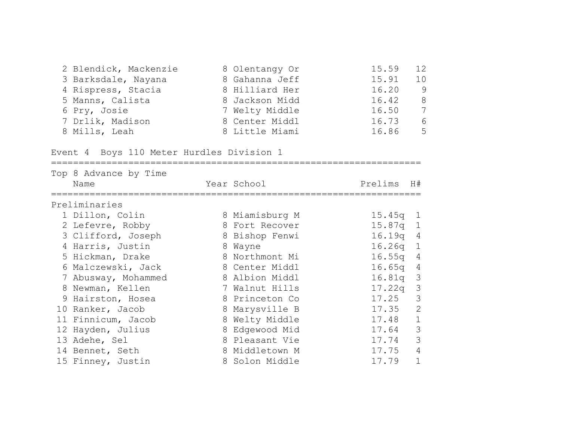| 2 Blendick, Mackenzie | 8 Olentangy Or | 15.59 | 12  |
|-----------------------|----------------|-------|-----|
| 3 Barksdale, Nayana   | 8 Gahanna Jeff | 15.91 | 1 O |
| 4 Rispress, Stacia    | 8 Hilliard Her | 16.20 | 9   |
| 5 Manns, Calista      | 8 Jackson Midd | 16.42 | 8   |
| 6 Pry, Josie          | 7 Welty Middle | 16.50 | 7   |
| 7 Drlik, Madison      | 8 Center Middl | 16.73 | 6   |
| 8 Mills, Leah         | 8 Little Miami | 16.86 | .5  |

Event 4 Boys 110 Meter Hurdles Division 1

| Top 8 Advance by Time<br>Name | Year School    | Prelims    | H#             |
|-------------------------------|----------------|------------|----------------|
| Preliminaries                 |                |            |                |
| 1 Dillon, Colin               | 8 Miamisburg M | $15.45q$ 1 |                |
| 2 Lefevre, Robby              | 8 Fort Recover | $15.87q$ 1 |                |
| 3 Clifford, Joseph            | 8 Bishop Fenwi | 16.19q 4   |                |
| 4 Harris, Justin              | 8 Wayne        | $16.26q$ 1 |                |
| 5 Hickman, Drake              | 8 Northmont Mi | 16.55q     | $\overline{4}$ |
| 6 Malczewski, Jack            | 8 Center Middl | 16.65q     | $\overline{4}$ |
| 7 Abusway, Mohammed           | 8 Albion Middl | 16.81q 3   |                |
| 8 Newman, Kellen              | 7 Walnut Hills | $17.22q$ 3 |                |
| 9 Hairston, Hosea             | 8 Princeton Co | 17.25      | 3              |
| 10 Ranker, Jacob              | 8 Marysville B | 17.35      | 2              |
| 11 Finnicum, Jacob            | 8 Welty Middle | 17.48      | $\mathbf{1}$   |
| 12 Hayden, Julius             | 8 Edgewood Mid | 17.64      | $\mathcal{S}$  |
| 13 Adehe, Sel                 | 8 Pleasant Vie | 17.74      | $\mathcal{S}$  |
| 14 Bennet, Seth               | 8 Middletown M | 17.75      | $\overline{4}$ |
| 15 Finney, Justin             | 8 Solon Middle | 17.79      |                |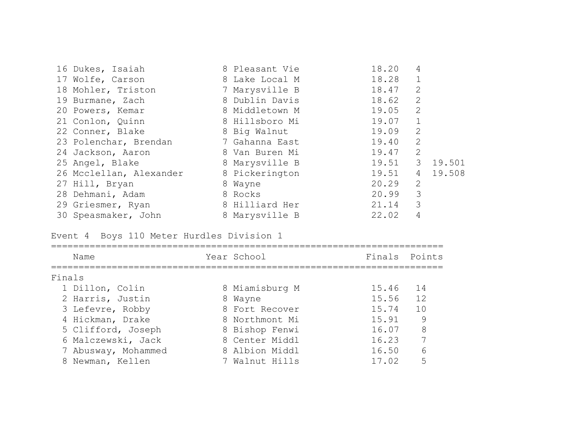| 16 Dukes, Isaiah        | 8 Pleasant Vie | 18.20 | 4              |        |
|-------------------------|----------------|-------|----------------|--------|
| 17 Wolfe, Carson        | 8 Lake Local M | 18.28 |                |        |
| 18 Mohler, Triston      | 7 Marysville B | 18.47 | 2              |        |
| 19 Burmane, Zach        | 8 Dublin Davis | 18.62 | 2              |        |
| 20 Powers, Kemar        | 8 Middletown M | 19.05 | 2              |        |
| 21 Conlon, Quinn        | 8 Hillsboro Mi | 19.07 | $\mathbf 1$    |        |
| 22 Conner, Blake        | 8 Big Walnut   | 19.09 | 2              |        |
| 23 Polenchar, Brendan   | 7 Gahanna East | 19.40 | 2              |        |
| 24 Jackson, Aaron       | 8 Van Buren Mi | 19.47 | 2              |        |
| 25 Angel, Blake         | 8 Marysville B | 19.51 | 3              | 19.501 |
| 26 Mcclellan, Alexander | 8 Pickerington | 19.51 | 4              | 19.508 |
| 27 Hill, Bryan          | 8 Wayne        | 20.29 | 2              |        |
| 28 Dehmani, Adam        | 8 Rocks        | 20.99 | 3              |        |
| 29 Griesmer, Ryan       | 8 Hilliard Her | 21.14 | 3              |        |
| 30 Speasmaker, John     | 8 Marysville B | 22.02 | $\overline{4}$ |        |

Event 4 Boys 110 Meter Hurdles Division 1

|        | Name                | Year School    | Finals Points |    |
|--------|---------------------|----------------|---------------|----|
| Finals |                     |                |               |    |
|        | 1 Dillon, Colin     | 8 Miamisburg M | 15.46         | 14 |
|        | 2 Harris, Justin    | 8 Wayne        | 15.56         | 12 |
|        | 3 Lefevre, Robby    | 8 Fort Recover | 15.74         | 10 |
|        | 4 Hickman, Drake    | 8 Northmont Mi | 15.91         | 9  |
|        | 5 Clifford, Joseph  | 8 Bishop Fenwi | 16.07         | 8  |
|        | 6 Malczewski, Jack  | 8 Center Middl | 16.23         |    |
|        | 7 Abusway, Mohammed | 8 Albion Middl | 16.50         | 6  |
|        | 8 Newman, Kellen    | 7 Walnut Hills | 17.02         |    |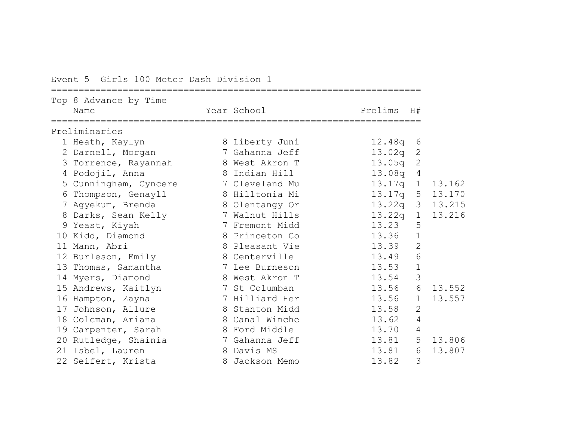### Event 5 Girls 100 Meter Dash Division 1

| Top 8 Advance by Time<br>Year School<br>Prelims<br>Name<br>H#<br>1 Heath, Kaylyn<br>8 Liberty Juni<br>12.48q<br>6<br>7 Gahanna Jeff<br>13.02q<br>$\mathbf{2}$<br>2 Darnell, Morgan<br>8 West Akron T<br>13.05q<br>$\mathbf{2}$<br>3<br>Torrence, Rayannah<br>4 Podojil, Anna<br>8 Indian Hill<br>13.08q<br>$\overline{4}$<br>13.17q<br>$\mathbf{1}$<br>5 Cunningham, Cyncere<br>7 Cleveland Mu<br>8 Hilltonia Mi<br>13.17q<br>5 13.170<br>Thompson, Genayll<br>6<br>13.22q<br>3 13.215<br>7 Agyekum, Brenda<br>8 Olentangy Or<br>7 Walnut Hills<br>13.22q<br>8 Darks, Sean Kelly<br>$\mathbf 1$<br>5<br>13.23<br>9 Yeast, Kiyah<br>7 Fremont Midd<br>13.36<br>$\mathbf 1$<br>10 Kidd, Diamond<br>8 Princeton Co<br>$\mathbf{2}$<br>13.39<br>11 Mann, Abri<br>8 Pleasant Vie<br>6<br>13.49<br>8 Centerville<br>12 Burleson, Emily<br>$\mathbf 1$<br>13.53<br>13 Thomas, Samantha<br>7 Lee Burneson<br>3<br>13.54<br>8 West Akron T<br>14 Myers, Diamond<br>6<br>7 St Columban<br>13.56<br>15 Andrews, Kaitlyn<br>7 Hilliard Her<br>13.56<br>16 Hampton, Zayna<br>$\mathbf 1$<br>$\overline{2}$<br>13.58<br>Johnson, Allure<br>8 Stanton Midd<br>17<br>13.62<br>$\overline{4}$<br>18 Coleman, Ariana<br>8 Canal Winche<br>$\overline{4}$<br>13.70<br>8 Ford Middle<br>19 Carpenter, Sarah<br>5<br>20 Rutledge, Shainia<br>13.81<br>7 Gahanna Jeff<br>21 Isbel, Lauren<br>8 Davis MS<br>13.81<br>6<br>3<br>8 Jackson Memo<br>22 Seifert, Krista |  |  |       |        |
|----------------------------------------------------------------------------------------------------------------------------------------------------------------------------------------------------------------------------------------------------------------------------------------------------------------------------------------------------------------------------------------------------------------------------------------------------------------------------------------------------------------------------------------------------------------------------------------------------------------------------------------------------------------------------------------------------------------------------------------------------------------------------------------------------------------------------------------------------------------------------------------------------------------------------------------------------------------------------------------------------------------------------------------------------------------------------------------------------------------------------------------------------------------------------------------------------------------------------------------------------------------------------------------------------------------------------------------------------------------------------------------------------------------------------------------------|--|--|-------|--------|
| Preliminaries                                                                                                                                                                                                                                                                                                                                                                                                                                                                                                                                                                                                                                                                                                                                                                                                                                                                                                                                                                                                                                                                                                                                                                                                                                                                                                                                                                                                                                |  |  |       |        |
|                                                                                                                                                                                                                                                                                                                                                                                                                                                                                                                                                                                                                                                                                                                                                                                                                                                                                                                                                                                                                                                                                                                                                                                                                                                                                                                                                                                                                                              |  |  |       |        |
|                                                                                                                                                                                                                                                                                                                                                                                                                                                                                                                                                                                                                                                                                                                                                                                                                                                                                                                                                                                                                                                                                                                                                                                                                                                                                                                                                                                                                                              |  |  |       |        |
|                                                                                                                                                                                                                                                                                                                                                                                                                                                                                                                                                                                                                                                                                                                                                                                                                                                                                                                                                                                                                                                                                                                                                                                                                                                                                                                                                                                                                                              |  |  |       |        |
|                                                                                                                                                                                                                                                                                                                                                                                                                                                                                                                                                                                                                                                                                                                                                                                                                                                                                                                                                                                                                                                                                                                                                                                                                                                                                                                                                                                                                                              |  |  |       |        |
|                                                                                                                                                                                                                                                                                                                                                                                                                                                                                                                                                                                                                                                                                                                                                                                                                                                                                                                                                                                                                                                                                                                                                                                                                                                                                                                                                                                                                                              |  |  |       |        |
|                                                                                                                                                                                                                                                                                                                                                                                                                                                                                                                                                                                                                                                                                                                                                                                                                                                                                                                                                                                                                                                                                                                                                                                                                                                                                                                                                                                                                                              |  |  |       | 13.162 |
|                                                                                                                                                                                                                                                                                                                                                                                                                                                                                                                                                                                                                                                                                                                                                                                                                                                                                                                                                                                                                                                                                                                                                                                                                                                                                                                                                                                                                                              |  |  |       |        |
|                                                                                                                                                                                                                                                                                                                                                                                                                                                                                                                                                                                                                                                                                                                                                                                                                                                                                                                                                                                                                                                                                                                                                                                                                                                                                                                                                                                                                                              |  |  |       |        |
|                                                                                                                                                                                                                                                                                                                                                                                                                                                                                                                                                                                                                                                                                                                                                                                                                                                                                                                                                                                                                                                                                                                                                                                                                                                                                                                                                                                                                                              |  |  |       | 13.216 |
|                                                                                                                                                                                                                                                                                                                                                                                                                                                                                                                                                                                                                                                                                                                                                                                                                                                                                                                                                                                                                                                                                                                                                                                                                                                                                                                                                                                                                                              |  |  |       |        |
|                                                                                                                                                                                                                                                                                                                                                                                                                                                                                                                                                                                                                                                                                                                                                                                                                                                                                                                                                                                                                                                                                                                                                                                                                                                                                                                                                                                                                                              |  |  |       |        |
|                                                                                                                                                                                                                                                                                                                                                                                                                                                                                                                                                                                                                                                                                                                                                                                                                                                                                                                                                                                                                                                                                                                                                                                                                                                                                                                                                                                                                                              |  |  |       |        |
|                                                                                                                                                                                                                                                                                                                                                                                                                                                                                                                                                                                                                                                                                                                                                                                                                                                                                                                                                                                                                                                                                                                                                                                                                                                                                                                                                                                                                                              |  |  |       |        |
|                                                                                                                                                                                                                                                                                                                                                                                                                                                                                                                                                                                                                                                                                                                                                                                                                                                                                                                                                                                                                                                                                                                                                                                                                                                                                                                                                                                                                                              |  |  |       |        |
|                                                                                                                                                                                                                                                                                                                                                                                                                                                                                                                                                                                                                                                                                                                                                                                                                                                                                                                                                                                                                                                                                                                                                                                                                                                                                                                                                                                                                                              |  |  |       |        |
|                                                                                                                                                                                                                                                                                                                                                                                                                                                                                                                                                                                                                                                                                                                                                                                                                                                                                                                                                                                                                                                                                                                                                                                                                                                                                                                                                                                                                                              |  |  |       | 13.552 |
|                                                                                                                                                                                                                                                                                                                                                                                                                                                                                                                                                                                                                                                                                                                                                                                                                                                                                                                                                                                                                                                                                                                                                                                                                                                                                                                                                                                                                                              |  |  |       | 13.557 |
|                                                                                                                                                                                                                                                                                                                                                                                                                                                                                                                                                                                                                                                                                                                                                                                                                                                                                                                                                                                                                                                                                                                                                                                                                                                                                                                                                                                                                                              |  |  |       |        |
|                                                                                                                                                                                                                                                                                                                                                                                                                                                                                                                                                                                                                                                                                                                                                                                                                                                                                                                                                                                                                                                                                                                                                                                                                                                                                                                                                                                                                                              |  |  |       |        |
|                                                                                                                                                                                                                                                                                                                                                                                                                                                                                                                                                                                                                                                                                                                                                                                                                                                                                                                                                                                                                                                                                                                                                                                                                                                                                                                                                                                                                                              |  |  |       |        |
|                                                                                                                                                                                                                                                                                                                                                                                                                                                                                                                                                                                                                                                                                                                                                                                                                                                                                                                                                                                                                                                                                                                                                                                                                                                                                                                                                                                                                                              |  |  |       | 13.806 |
|                                                                                                                                                                                                                                                                                                                                                                                                                                                                                                                                                                                                                                                                                                                                                                                                                                                                                                                                                                                                                                                                                                                                                                                                                                                                                                                                                                                                                                              |  |  |       | 13.807 |
|                                                                                                                                                                                                                                                                                                                                                                                                                                                                                                                                                                                                                                                                                                                                                                                                                                                                                                                                                                                                                                                                                                                                                                                                                                                                                                                                                                                                                                              |  |  | 13.82 |        |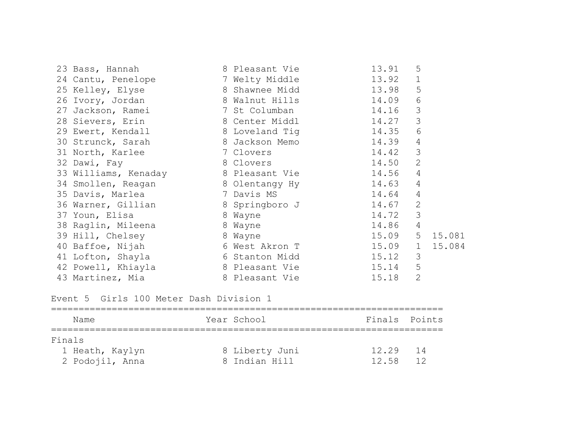| 23 Bass, Hannah                                                         | 8 Pleasant Vie       | 13.91   | 5              |        |
|-------------------------------------------------------------------------|----------------------|---------|----------------|--------|
| 24 Cantu, Penelope                                                      | 7 Welty Middle 3.92  |         | $\mathbf 1$    |        |
| 25 Kelley, Elyse                                                        | 8 Shawnee Midd 13.98 |         | 5              |        |
| 26 Ivory, Jordan 8 Walnut Hills 14.09                                   |                      |         | 6              |        |
| 27 Jackson, Ramei                 7 St Columban                   14.16 |                      |         | 3              |        |
| 28 Sievers, Erin 14.27                                                  |                      |         | 3              |        |
| 29 Ewert, Kendall 8 Loveland Tig 14.35                                  |                      |         | 6              |        |
| 30 Strunck, Sarah 8 Jackson Memo 14.39                                  |                      |         | 4              |        |
| 7 Clovers<br>31 North, Karlee                                           | 14.42                |         | 3              |        |
| 32 Dawi, Fay                                                            | 8 Clovers            | 14.50   | $\mathbf{2}$   |        |
| 33 Williams, Kenaday 6 8 Pleasant Vie 14.56                             |                      |         | $\overline{4}$ |        |
| 34 Smollen, Reagan 8 Olentangy Hy 14.63                                 |                      |         | 4              |        |
| 35 Davis, Marlea 2008 7 Davis MS 14.64                                  |                      |         | $\overline{4}$ |        |
| 36 Warner, Gillian 8 Springboro J 14.67                                 |                      |         | $\mathbf{2}$   |        |
| 37 Youn, Elisa                                                          | 8 Wayne              | 14.72   | 3              |        |
| 8 Wayne<br>38 Raglin, Mileena                                           |                      | 14.86   | $\overline{4}$ |        |
| 8 Wayne<br>39 Hill, Chelsey                                             |                      | 15.09 5 |                | 15.081 |
| 40 Baffoe, Nijah 6 West Akron T                                         | 15.09 1              |         |                | 15.084 |
| 41 Lofton, Shayla                                                       | 6 Stanton Midd 15.12 |         | 3              |        |
| 42 Powell, Khiayla                                                      | 8 Pleasant Vie       | 15.14   | 5              |        |
| 43 Martinez, Mia                                                        | 8 Pleasant Vie       | 15.18   | $\overline{2}$ |        |

Event 5 Girls 100 Meter Dash Division 1

| Name            | Year School    | Finals Points |  |
|-----------------|----------------|---------------|--|
| Finals          |                |               |  |
| 1 Heath, Kaylyn | 8 Liberty Juni | 12.29<br>$14$ |  |
| 2 Podojil, Anna | 8 Indian Hill  | 12.58<br>12   |  |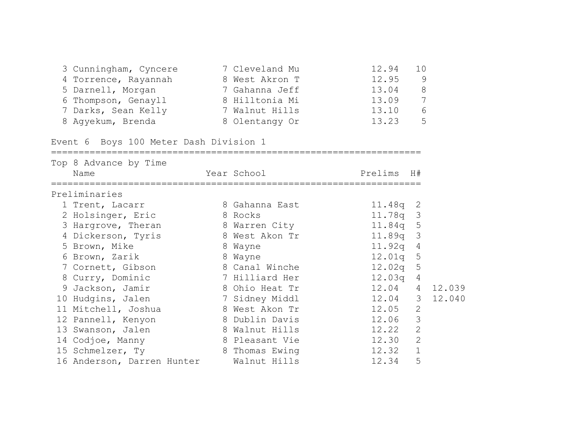| 3 Cunningham, Cyncere | 7 Cleveland Mu | 12.94 | 1 O |
|-----------------------|----------------|-------|-----|
| 4 Torrence, Rayannah  | 8 West Akron T | 12.95 | 9   |
| 5 Darnell, Morgan     | 7 Gahanna Jeff | 13.04 | 8   |
| 6 Thompson, Genayll   | 8 Hilltonia Mi | 13.09 | 7   |
| 7 Darks, Sean Kelly   | 7 Walnut Hills | 13.10 | 6   |
| 8 Aqyekum, Brenda     | 8 Olentangy Or | 13.23 | .5  |

===================================================================

Event 6 Boys 100 Meter Dash Division 1

| Top 8 Advance by Time      |                |            |                 |        |
|----------------------------|----------------|------------|-----------------|--------|
| Name                       | Year School    | Prelims H# |                 |        |
| Preliminaries              |                |            |                 |        |
| 1 Trent, Lacarr            | 8 Gahanna East | $11.48q$ 2 |                 |        |
| 2 Holsinger, Eric          | 8 Rocks        | 11.78q 3   |                 |        |
| 3 Hargrove, Theran         | 8 Warren City  | 11.84q     | 5               |        |
| 4 Dickerson, Tyris         | 8 West Akon Tr | 11.89q     | $\mathcal{S}$   |        |
| 5 Brown, Mike              | 8 Wayne        | 11.92q     | $\overline{4}$  |        |
| 6 Brown, Zarik             | 8 Wayne        | 12.01q     | 5               |        |
| 7 Cornett, Gibson          | 8 Canal Winche | 12.02q     | 5               |        |
| 8 Curry, Dominic           | 7 Hilliard Her | 12.03q     | $\overline{4}$  |        |
| 9 Jackson, Jamir           | 8 Ohio Heat Tr | 12.04      | $4\overline{ }$ | 12.039 |
| 10 Hudgins, Jalen          | 7 Sidney Middl | 12.04      | $\mathcal{S}$   | 12.040 |
| 11 Mitchell, Joshua        | 8 West Akon Tr | 12.05      | 2               |        |
| 12 Pannell, Kenyon         | 8 Dublin Davis | 12.06      | 3               |        |
| 13 Swanson, Jalen          | 8 Walnut Hills | 12.22      | 2               |        |
| 14 Codjoe, Manny           | 8 Pleasant Vie | 12.30      | $\mathbf{2}$    |        |
| 15 Schmelzer, Ty           | 8 Thomas Ewing | 12.32      | $\mathbf 1$     |        |
| 16 Anderson, Darren Hunter | Walnut Hills   | 12.34      | 5               |        |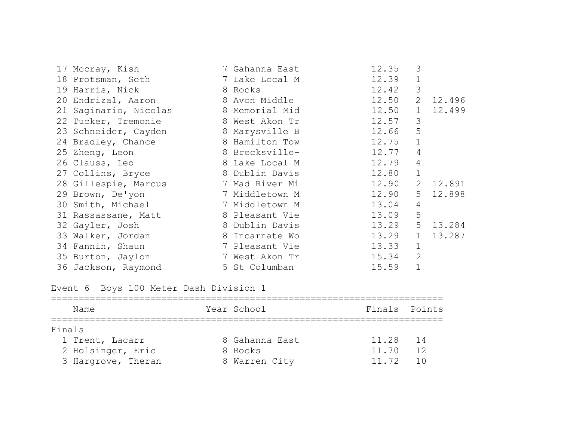| 17 Mccray, Kish       | 7 Gahanna East | 12.35          | 3              |        |
|-----------------------|----------------|----------------|----------------|--------|
| 18 Protsman, Seth     | 7 Lake Local M | 12.39          | $\mathbf{1}$   |        |
| 19 Harris, Nick       | 8 Rocks        | 12.42          | $\mathcal{S}$  |        |
| 20 Endrizal, Aaron    | 8 Avon Middle  | 12.50 2 12.496 |                |        |
| 21 Saginario, Nicolas | 8 Memorial Mid | 12.50 1        |                | 12.499 |
| 22 Tucker, Tremonie   | 8 West Akon Tr | 12.57          | 3              |        |
| 23 Schneider, Cayden  | 8 Marysville B | 12.66          | 5              |        |
| 24 Bradley, Chance    | 8 Hamilton Tow | 12.75          | $\mathbf{1}$   |        |
| 25 Zheng, Leon        | 8 Brecksville- | 12.77          | 4              |        |
| 26 Clauss, Leo        | 8 Lake Local M | 12.79          | 4              |        |
| 27 Collins, Bryce     | 8 Dublin Davis | 12.80          | $\mathbf 1$    |        |
| 28 Gillespie, Marcus  | 7 Mad River Mi | 12.90          | 2              | 12.891 |
| 29 Brown, De'yon      | 7 Middletown M | 12.90          | 5 <sup>5</sup> | 12.898 |
| 30 Smith, Michael     | 7 Middletown M | 13.04          | $\overline{4}$ |        |
| 31 Rassassane, Matt   | 8 Pleasant Vie | 13.09          | 5              |        |
| 32 Gayler, Josh       | 8 Dublin Davis | 13.29          | 5              | 13.284 |
| 33 Walker, Jordan     | 8 Incarnate Wo | 13.29          | $\mathbf{1}$   | 13.287 |
| 34 Fannin, Shaun      | 7 Pleasant Vie | 13.33          | $\mathbf{1}$   |        |
| 35 Burton, Jaylon     | 7 West Akon Tr | 15.34          | 2              |        |
| 36 Jackson, Raymond   | 5 St Columban  | 15.59          | $\mathbf{1}$   |        |

Event 6 Boys 100 Meter Dash Division 1

| Name               | Year School    | Finals Points |                 |
|--------------------|----------------|---------------|-----------------|
| Finals             |                |               |                 |
| 1 Trent, Lacarr    | 8 Gahanna East | 11.28         | 14              |
| 2 Holsinger, Eric  | 8 Rocks        | 11.70         | 12              |
| 3 Hargrove, Theran | 8 Warren City  | 11.72         | $\overline{10}$ |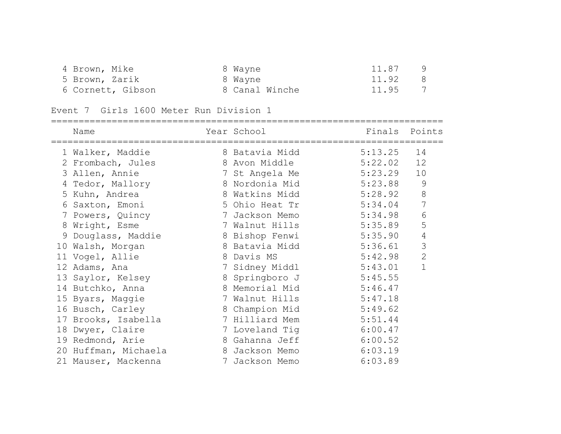| 4 Brown, Mike     | 8 Wayne        | 11.87                   |
|-------------------|----------------|-------------------------|
| 5 Brown, Zarik    | 8 Wayne        | 11.92 8                 |
| 6 Cornett, Gibson | 8 Canal Winche | $\overline{7}$<br>11.95 |

#### Event 7 Girls 1600 Meter Run Division 1

|    | =========================<br>Name | Year School    | Finals  | Points         |
|----|-----------------------------------|----------------|---------|----------------|
|    | 1 Walker, Maddie                  | 8 Batavia Midd | 5:13.25 | 14             |
|    | 2 Frombach, Jules                 | 8 Avon Middle  | 5:22.02 | 12             |
|    | 3 Allen, Annie                    | 7 St Angela Me | 5:23.29 | 10             |
|    | 4 Tedor, Mallory                  | 8 Nordonia Mid | 5:23.88 | 9              |
|    | 5 Kuhn, Andrea                    | 8 Watkins Midd | 5:28.92 | $8\,$          |
| 6  | Saxton, Emoni                     | 5 Ohio Heat Tr | 5:34.04 | $\overline{7}$ |
|    | 7 Powers, Quincy                  | 7 Jackson Memo | 5:34.98 | $\sqrt{6}$     |
| 8  | Wright, Esme                      | 7 Walnut Hills | 5:35.89 | 5              |
|    | 9 Douglass, Maddie                | 8 Bishop Fenwi | 5:35.90 | $\sqrt{4}$     |
| 10 | Walsh, Morgan                     | 8 Batavia Midd | 5:36.61 | 3              |
|    | 11 Vogel, Allie                   | 8 Davis MS     | 5:42.98 | $\mathbf{2}$   |
|    | 12 Adams, Ana                     | 7 Sidney Middl | 5:43.01 | $\mathbf{1}$   |
|    | 13 Saylor, Kelsey                 | 8 Springboro J | 5:45.55 |                |
|    | 14 Butchko, Anna                  | 8 Memorial Mid | 5:46.47 |                |
|    | 15 Byars, Maggie                  | 7 Walnut Hills | 5:47.18 |                |
|    | 16 Busch, Carley                  | 8 Champion Mid | 5:49.62 |                |
|    | 17 Brooks, Isabella               | 7 Hilliard Mem | 5:51.44 |                |
|    | 18 Dwyer, Claire                  | 7 Loveland Tig | 6:00.47 |                |
|    | 19 Redmond, Arie                  | 8 Gahanna Jeff | 6:00.52 |                |
|    | 20 Huffman, Michaela              | 8 Jackson Memo | 6:03.19 |                |
|    | 21 Mauser, Mackenna               | 7 Jackson Memo | 6:03.89 |                |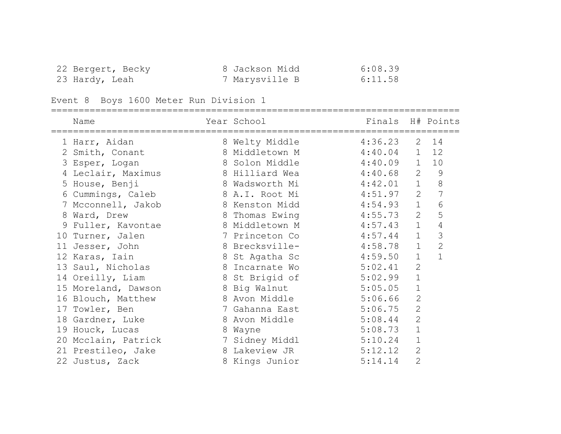| 22 Bergert, Becky | 8 Jackson Midd | 6:08.39 |
|-------------------|----------------|---------|
| 23 Hardy, Leah    | 7 Marysville B | 6:11.58 |

# Event 8 Boys 1600 Meter Run Division 1

|   | Name                |   | Year School            | Finals      |                | H# Points      |
|---|---------------------|---|------------------------|-------------|----------------|----------------|
|   | 1 Harr, Aidan       |   | 8 Welty Middle         | 4:36.23     | 2              | 14             |
|   | 2 Smith, Conant     |   | 8 Middletown M         | $4:40.04$ 1 |                | 12             |
|   | 3 Esper, Logan      |   | 8 Solon Middle         | $4:40.09$ 1 |                | 10             |
|   | 4 Leclair, Maximus  |   | 8 Hilliard Wea         | 4:40.68     | $\overline{2}$ | $\mathsf 9$    |
|   | 5 House, Benji      |   | 8 Wadsworth Mi         | 4:42.01     | $\mathbf{1}$   | $\,8\,$        |
|   | 6 Cummings, Caleb   |   | 8 A.I. Root Mi         | 4:51.97     | $\overline{2}$ | $\overline{7}$ |
|   | 7 Mcconnell, Jakob  |   | 8 Kenston Midd         | 4:54.93     | $\mathbf 1$    | 6              |
|   | 8 Ward, Drew        |   | 8 Thomas Ewing         | 4:55.73     | 2              | 5              |
| 9 | Fuller, Kavontae    |   | 8 Middletown M         | 4:57.43     | $\mathbf{1}$   | $\sqrt{4}$     |
|   | 10 Turner, Jalen    |   | 7 Princeton Co         | 4:57.44     | $\mathbf{1}$   | $\mathcal{S}$  |
|   | 11 Jesser, John     |   | 8 Brecksville-         | 4:58.78     | $\mathbf{1}$   | $\overline{c}$ |
|   | 12 Karas, Iain      |   | 8 St Agatha Sc         | 4:59.50     | $\mathbf{1}$   |                |
|   | 13 Saul, Nicholas   |   | 8 Incarnate Wo         | 5:02.41     | $\overline{2}$ |                |
|   | 14 Oreilly, Liam    |   | 8 St Brigid of         | 5:02.99     | $\mathbf 1$    |                |
|   | 15 Moreland, Dawson |   | 8 Big Walnut           | 5:05.05     | $\mathbf 1$    |                |
|   | 16 Blouch, Matthew  |   | 8 Avon Middle          | 5:06.66     | $\mathbf{2}$   |                |
|   | 17 Towler, Ben      |   | 7 Gahanna East         | 5:06.75     | $\overline{2}$ |                |
|   | 18 Gardner, Luke    |   | 8 Avon Middle          | 5:08.44     | $\overline{2}$ |                |
|   | 19 Houck, Lucas     | 8 | Wayne                  | 5:08.73     | $\mathbf 1$    |                |
|   | 20 Mcclain, Patrick |   | 7 Sidney Middl 5:10.24 |             | $\mathbf 1$    |                |
|   | 21 Prestileo, Jake  |   | 8 Lakeview JR          | 5:12.12     | $\overline{2}$ |                |
|   | 22 Justus, Zack     |   | 8 Kings Junior         | 5:14.14     | $\overline{2}$ |                |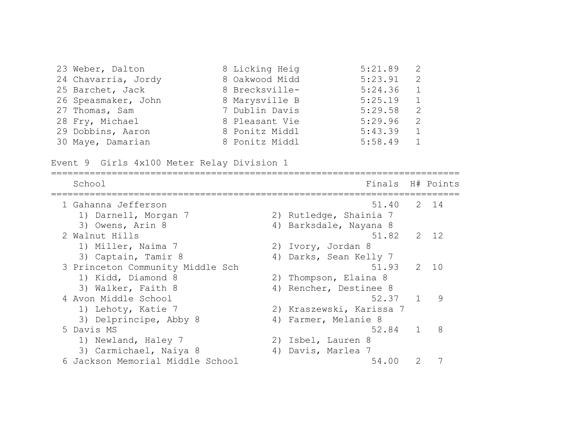| 23 Weber, Dalton    | 8 Licking Heig | $5:21.89$ 2 |                                                                                             |
|---------------------|----------------|-------------|---------------------------------------------------------------------------------------------|
| 24 Chavarria, Jordy | 8 Oakwood Midd | 5:23.91     | 2                                                                                           |
| 25 Barchet, Jack    | 8 Brecksville- | 5:24.36     | $\overline{1}$                                                                              |
| 26 Speasmaker, John | 8 Marysville B | 5:25.19     | $\overline{1}$                                                                              |
| 27 Thomas, Sam      | 7 Dublin Davis | 5:29.58     | $\overline{2}$                                                                              |
| 28 Fry, Michael     | 8 Pleasant Vie | 5:29.96     | 2                                                                                           |
| 29 Dobbins, Aaron   | 8 Ponitz Middl | 5:43.39     | $\overline{1}$                                                                              |
| 30 Maye, Damarian   | 8 Ponitz Middl | 5:58.49     | $\begin{array}{\begin{array}{\small \begin{array}{\small \end{array}}}} & 1 \\ \end{array}$ |

Event 9 Girls 4x100 Meter Relay Division 1

| School                           | Finals                   |   | H# Points       |
|----------------------------------|--------------------------|---|-----------------|
| 1 Gahanna Jefferson              | 51.40                    |   | 2 14            |
| 1) Darnell, Morgan 7             | 2) Rutledge, Shainia 7   |   |                 |
| 3) Owens, Arin 8                 | 4) Barksdale, Nayana 8   |   |                 |
| 2 Walnut Hills                   | 51.82                    |   | $2 \t12$        |
| 1) Miller, Naima 7               | 2) Ivory, Jordan 8       |   |                 |
| 3) Captain, Tamir 8              | 4) Darks, Sean Kelly 7   |   |                 |
| 3 Princeton Community Middle Sch | 51.93                    | 2 | $\overline{10}$ |
| 1) Kidd, Diamond 8               | 2) Thompson, Elaina 8    |   |                 |
| 3) Walker, Faith 8               | 4) Rencher, Destinee 8   |   |                 |
| 4 Avon Middle School             | 52.37                    |   | 9               |
| 1) Lehoty, Katie 7               | 2) Kraszewski, Karissa 7 |   |                 |
| 3) Delprincipe, Abby 8           | 4) Farmer, Melanie 8     |   |                 |
| 5 Davis MS                       | 52.84                    |   | 8               |
| 1) Newland, Haley 7              | 2) Isbel, Lauren 8       |   |                 |
| 3) Carmichael, Naiya 8           | 4) Davis, Marlea 7       |   |                 |
| 6 Jackson Memorial Middle School | 54.00                    |   |                 |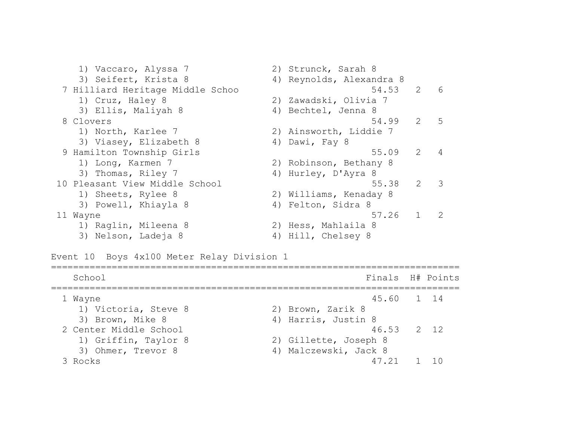1) Vaccaro, Alyssa 7 2) Strunck, Sarah 8 3) Seifert, Krista 8 4) Reynolds, Alexandra 8 7 Hilliard Heritage Middle Schoo 54.53 2 6 1) Cruz, Haley 8 2) Zawadski, Olivia 7 3) Ellis, Maliyah 8 4) Bechtel, Jenna 8 8 Clovers 54.99 2 5 1) North, Karlee 7 2) Ainsworth, Liddie 7 3) Viasey, Elizabeth 8 4) Dawi, Fay 8 9 Hamilton Township Girls 55.09 2 4 1) Long, Karmen 7 2) Robinson, Bethany 8 3) Thomas, Riley 7 4) Hurley, D'Ayra 8 10 Pleasant View Middle School 55.38 2 3 1) Sheets, Rylee 8 2) Williams, Kenaday 8 3) Powell, Khiayla 8 4) Felton, Sidra 8 11 Wayne 57.26 1 2 1) Raglin, Mileena 8 2) Hess, Mahlaila 8 3) Nelson, Ladeja 8 4) Hill, Chelsey 8

Event 10 Boys 4x100 Meter Relay Division 1

| School                 | Finals H# Points      |  |
|------------------------|-----------------------|--|
| 1 Wayne                | 45.60 1 14            |  |
| 1) Victoria, Steve 8   | 2) Brown, Zarik 8     |  |
| 3) Brown, Mike 8       | 4) Harris, Justin 8   |  |
| 2 Center Middle School | 46.53 2 12            |  |
| 1) Griffin, Taylor 8   | 2) Gillette, Joseph 8 |  |
| 3) Ohmer, Trevor 8     | 4) Malczewski, Jack 8 |  |
| Rocks                  | 47 21                 |  |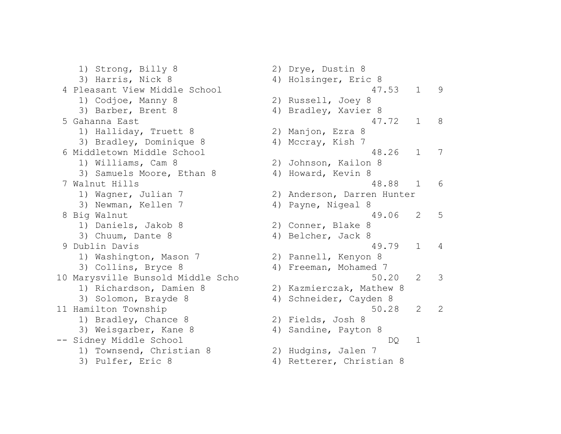1) Strong, Billy 8 2) Drye, Dustin 8 3) Harris, Nick 8 4) Holsinger, Eric 8 4 Pleasant View Middle School 47.53 1 9 1) Codjoe, Manny 8 2) Russell, Joey 8 3) Barber, Brent 8 4) Bradley, Xavier 8 5 Gahanna East 47.72 1 8 1) Halliday, Truett 8 2) Manjon, Ezra 8 3) Bradley, Dominique 8 4) Mccray, Kish 7 6 Middletown Middle School 48.26 1 7 1) Williams, Cam 8 2) Johnson, Kailon 8 3) Samuels Moore, Ethan 8 4) Howard, Kevin 8 7 Walnut Hills 48.88 1 6 1) Wagner, Julian 7 2) Anderson, Darren Hunter 3) Newman, Kellen 7 (4) Payne, Nigeal 8 8 Big Walnut 49.06 2 5 1) Daniels, Jakob 8 2) Conner, Blake 8 3) Chuum, Dante 8 4) Belcher, Jack 8 9 Dublin Davis 49.79 1 4 1) Washington, Mason 7 2) Pannell, Kenyon 8 3) Collins, Bryce 8 4) Freeman, Mohamed 7 10 Marysville Bunsold Middle Scho 50.20 2 3 1) Richardson, Damien 8 2) Kazmierczak, Mathew 8 3) Solomon, Brayde 8 4) Schneider, Cayden 8 11 Hamilton Township 50.28 2 2 1) Bradley, Chance 8 2) Fields, Josh 8 3) Weisgarber, Kane 8 4) Sandine, Payton 8 -- Sidney Middle School DQ 1 1) Townsend, Christian 8 2) Hudgins, Jalen 7 3) Pulfer, Eric 8 4) Retterer, Christian 8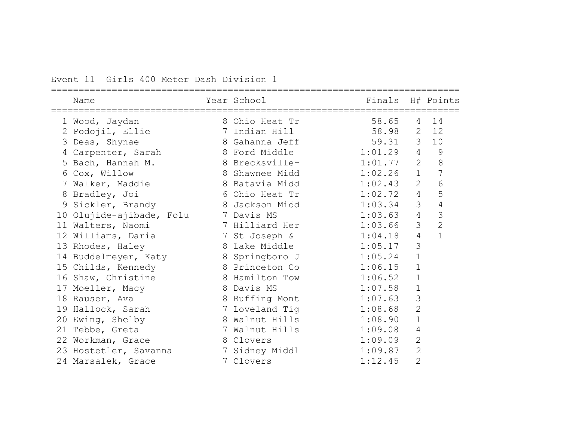#### Event 11 Girls 400 Meter Dash Division 1

| Name                                 | Year School    | Finals H# Points |                |                |
|--------------------------------------|----------------|------------------|----------------|----------------|
| 1 Wood, Jaydan                       | 8 Ohio Heat Tr | 58.65            | $\overline{4}$ | 14             |
| 2 Podojil, Ellie                     | 7 Indian Hill  | 58.98            | $\overline{2}$ | 12             |
| 3 Deas, Shynae                       | 8 Gahanna Jeff | 59.31            | 3 <sup>7</sup> | 10             |
| 4 Carpenter, Sarah                   | 8 Ford Middle  | 1:01.29          | $\overline{4}$ | 9              |
| 5 Bach, Hannah M.                    | 8 Brecksville- | 1:01.77          | $\overline{2}$ | 8              |
| 6 Cox, Willow                        | 8 Shawnee Midd | 1:02.26          | $\mathbf{1}$   | 7              |
| 7 Walker, Maddie                     | 8 Batavia Midd | 1:02.43          | $\overline{2}$ | 6              |
| 8 Bradley, Joi                       | 6 Ohio Heat Tr | 1:02.72          | $\overline{4}$ | 5              |
| 9 Sickler, Brandy                    | 8 Jackson Midd | 1:03.34          | $\mathcal{S}$  | $\overline{4}$ |
| 10 Olujide-ajibade, Folu             | 7 Davis MS     | 1:03.63          | $\overline{4}$ | 3              |
| 11 Walters, Naomi                    | 7 Hilliard Her | 1:03.66          | $\mathcal{S}$  | $\overline{2}$ |
| 12 Williams, Daria 12 St Joseph &    |                | 1:04.18          | $\overline{4}$ | $\mathbf{1}$   |
| 13 Rhodes, Haley                     | 8 Lake Middle  | 1:05.17          | 3              |                |
| 14 Buddelmeyer, Katy 68 Springboro J |                | 1:05.24          | $\mathbf{1}$   |                |
| 15 Childs, Kennedy                   | 8 Princeton Co | 1:06.15          | $\mathbf{1}$   |                |
| 16 Shaw, Christine                   | 8 Hamilton Tow | 1:06.52          | $\mathbf 1$    |                |
| 17 Moeller, Macy                     | 8 Davis MS     | 1:07.58          | $\mathbf 1$    |                |
| 18 Rauser, Ava                       | 8 Ruffing Mont | 1:07.63          | 3              |                |
| 19 Hallock, Sarah                    | 7 Loveland Tig | 1:08.68          | $\overline{2}$ |                |
| 20 Ewing, Shelby                     | 8 Walnut Hills | 1:08.90          | $\mathbf{1}$   |                |
| 21 Tebbe, Greta                      | 7 Walnut Hills | 1:09.08          | 4              |                |
| 22 Workman, Grace                    | 8 Clovers      | 1:09.09          | $\overline{2}$ |                |
| 23 Hostetler, Savanna                | 7 Sidney Middl | 1:09.87          | $\overline{2}$ |                |
| 24 Marsalek, Grace                   | 7 Clovers      | 1:12.45          | $\overline{2}$ |                |
|                                      |                |                  |                |                |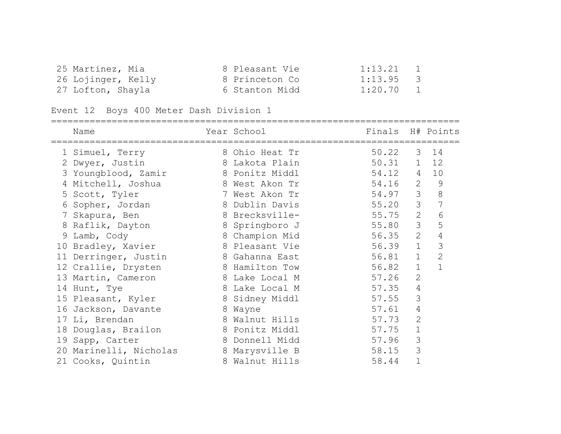| 25 Martinez, Mia   | 8 Pleasant Vie | $1:13.21$ 1 |  |
|--------------------|----------------|-------------|--|
| 26 Lojinger, Kelly | 8 Princeton Co | $1:13.95$ 3 |  |
| 27 Lofton, Shayla  | 6 Stanton Midd | $1:20.70$ 1 |  |

Event 12 Boys 400 Meter Dash Division 1

|    | Name                   | Year School    | Finals |                | H# Points      |
|----|------------------------|----------------|--------|----------------|----------------|
|    | 1 Simuel, Terry        | 8 Ohio Heat Tr | 50.22  | 3              | 14             |
|    | 2 Dwyer, Justin        | 8 Lakota Plain | 50.31  | $\mathbf{1}$   | 12             |
|    | 3 Youngblood, Zamir    | 8 Ponitz Middl | 54.12  | $\overline{4}$ | 10             |
|    | 4 Mitchell, Joshua     | 8 West Akon Tr | 54.16  | 2              | $\mathcal{G}$  |
|    | 5 Scott, Tyler         | 7 West Akon Tr | 54.97  | 3              | 8              |
| 6  | Sopher, Jordan         | 8 Dublin Davis | 55.20  | 3              | 7              |
|    | 7 Skapura, Ben         | 8 Brecksville- | 55.75  | 2              | 6              |
| 8  | Raflik, Dayton         | 8 Springboro J | 55.80  | 3              | 5              |
|    | 9 Lamb, Cody           | 8 Champion Mid | 56.35  | 2              | $\overline{4}$ |
|    | 10 Bradley, Xavier     | 8 Pleasant Vie | 56.39  | $\mathbf 1$    | 3              |
|    | 11 Derringer, Justin   | 8 Gahanna East | 56.81  | $\mathbf 1$    | $\mathbf{2}$   |
|    | 12 Crallie, Drysten    | 8 Hamilton Tow | 56.82  | $\mathbf{1}$   | $\mathbf{1}$   |
|    | 13 Martin, Cameron     | 8 Lake Local M | 57.26  | $\overline{2}$ |                |
|    | 14 Hunt, Tye           | 8 Lake Local M | 57.35  | $\overline{4}$ |                |
|    | 15 Pleasant, Kyler     | 8 Sidney Middl | 57.55  | 3              |                |
|    | 16 Jackson, Davante    | 8 Wayne        | 57.61  | 4              |                |
| 17 | Li, Brendan            | 8 Walnut Hills | 57.73  | $\overline{2}$ |                |
| 18 | Douglas, Brailon       | 8 Ponitz Middl | 57.75  | $\mathbf 1$    |                |
|    | 19 Sapp, Carter        | 8 Donnell Midd | 57.96  | 3              |                |
|    | 20 Marinelli, Nicholas | 8 Marysville B | 58.15  | 3              |                |
|    | 21 Cooks, Quintin      | 8 Walnut Hills | 58.44  | 1              |                |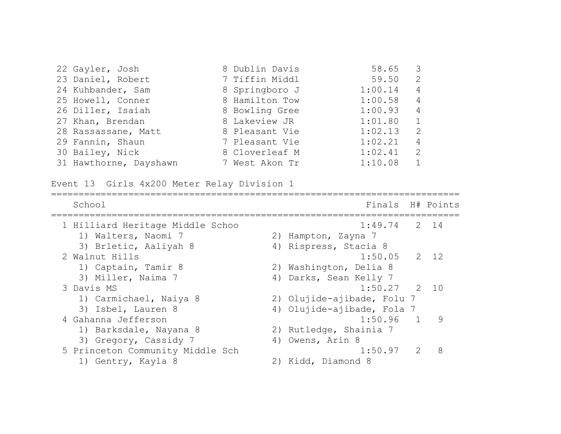| 22 Gayler, Josh        | 8 Dublin Davis | 58.65   | $\overline{\mathbf{3}}$ |
|------------------------|----------------|---------|-------------------------|
| 23 Daniel, Robert      | 7 Tiffin Middl | 59.50   | 2                       |
| 24 Kuhbander, Sam      | 8 Springboro J | 1:00.14 | 4                       |
| 25 Howell, Conner      | 8 Hamilton Tow | 1:00.58 | $\overline{4}$          |
| 26 Diller, Isaiah      | 8 Bowling Gree | 1:00.93 | $\overline{4}$          |
| 27 Khan, Brendan       | 8 Lakeview JR  | 1:01.80 | $\mathbf{1}$            |
| 28 Rassassane, Matt    | 8 Pleasant Vie | 1:02.13 | $\mathcal{L}$           |
| 29 Fannin, Shaun       | 7 Pleasant Vie | 1:02.21 | 4                       |
| 30 Bailey, Nick        | 8 Cloverleaf M | 1:02.41 | $\mathcal{L}$           |
| 31 Hawthorne, Dayshawn | 7 West Akon Tr | 1:10.08 |                         |

Event 13 Girls 4x200 Meter Relay Division 1

| School                           | Finals H# Points           |                                                                                                                                                                 |   |
|----------------------------------|----------------------------|-----------------------------------------------------------------------------------------------------------------------------------------------------------------|---|
| 1 Hilliard Heritage Middle Schoo | $1:49.74$ 2 14             |                                                                                                                                                                 |   |
| 1) Walters, Naomi 7              | 2) Hampton, Zayna 7        |                                                                                                                                                                 |   |
| 3) Brletic, Aaliyah 8            | 4) Rispress, Stacia 8      |                                                                                                                                                                 |   |
| 2 Walnut Hills                   | $1:50.05$ 2 12             |                                                                                                                                                                 |   |
| 1) Captain, Tamir 8              | 2) Washington, Delia 8     |                                                                                                                                                                 |   |
| 3) Miller, Naima 7               | 4) Darks, Sean Kelly 7     |                                                                                                                                                                 |   |
| 3 Davis MS                       | $1:50.27$ 2 10             |                                                                                                                                                                 |   |
| 1) Carmichael, Naiya 8           | 2) Olujide-ajibade, Folu 7 |                                                                                                                                                                 |   |
| 3) Isbel, Lauren 8               | 4) Olujide-ajibade, Fola 7 |                                                                                                                                                                 |   |
| 4 Gahanna Jefferson              | $1:50.96$ 1                |                                                                                                                                                                 | 9 |
| 1) Barksdale, Nayana 8           | 2) Rutledge, Shainia 7     |                                                                                                                                                                 |   |
| 3) Gregory, Cassidy 7            | 4) Owens, Arin 8           |                                                                                                                                                                 |   |
| 5 Princeton Community Middle Sch | 1:50.97                    | $\mathcal{D}_{\mathcal{A}}^{\mathcal{A}}(\mathcal{A})=\mathcal{D}_{\mathcal{A}}^{\mathcal{A}}(\mathcal{A})\mathcal{D}_{\mathcal{A}}^{\mathcal{A}}(\mathcal{A})$ | 8 |
| 1) Gentry, Kayla 8               | 2) Kidd, Diamond 8         |                                                                                                                                                                 |   |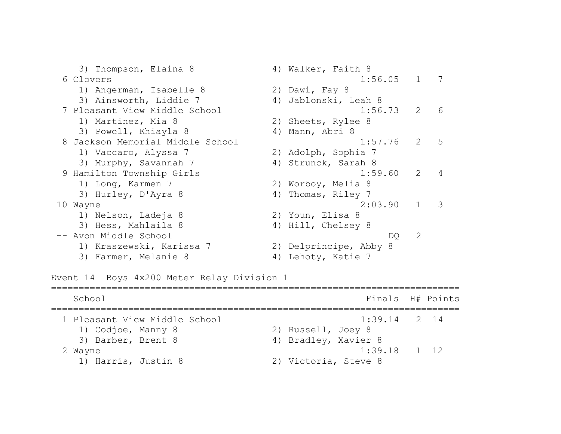3) Thompson, Elaina 8 4) Walker, Faith 8 6 Clovers 1:56.05 1 7 1) Angerman, Isabelle 8 2) Dawi, Fay 8 3) Ainsworth, Liddie 7 (4) Jablonski, Leah 8 7 Pleasant View Middle School 1:56.73 2 6 1) Martinez, Mia 8 2) Sheets, Rylee 8 3) Powell, Khiayla 8 4) Mann, Abri 8 8 Jackson Memorial Middle School 1:57.76 2 5 1) Vaccaro, Alyssa 7 2) Adolph, Sophia 7 3) Murphy, Savannah 7 (4) Strunck, Sarah 8 9 Hamilton Township Girls 1:59.60 2 4 1) Long, Karmen 7 2) Worboy, Melia 8 3) Hurley, D'Ayra 8 4) Thomas, Riley 7 10 Wayne 2:03.90 1 3 1) Nelson, Ladeja 8 2) Youn, Elisa 8 3) Hess, Mahlaila 8 4) Hill, Chelsey 8 -- Avon Middle School DQ 2 1) Kraszewski, Karissa 7 2) Delprincipe, Abby 8 3) Farmer, Melanie 8 4) Lehoty, Katie 7

Event 14 Boys 4x200 Meter Relay Division 1

```
==========================================================================
   School Finals H# Points
==========================================================================
  1 Pleasant View Middle School 1:39.14 2 14 
    1) Codjoe, Manny 8 2) Russell, Joey 8 
   3) Barber, Brent 8 4) Bradley, Xavier 8
 2 Wayne 1:39.18 1 12 
    1) Harris, Justin 8 2) Victoria, Steve 8
```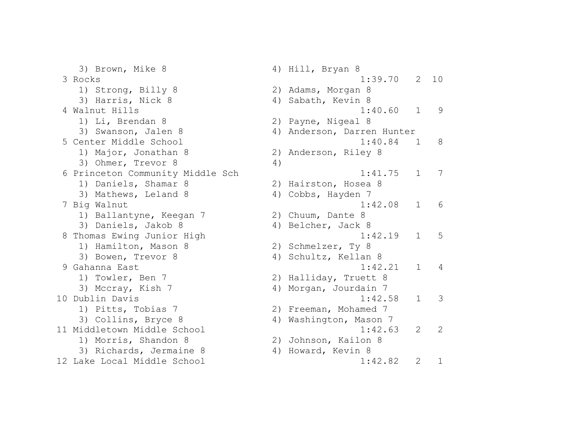3) Brown, Mike 8 4) Hill, Bryan 8 3 Rocks 1:39.70 2 10 1) Strong, Billy 8 2) Adams, Morgan 8 3) Harris, Nick 8 4) Sabath, Kevin 8 4 Walnut Hills 1:40.60 1 9 1) Li, Brendan 8 2) Payne, Nigeal 8 3) Swanson, Jalen 8 4) Anderson, Darren Hunter 5 Center Middle School 1:40.84 1 8 1) Major, Jonathan 8 2) Anderson, Riley 8 3) Ohmer, Trevor 8 (4) 6 Princeton Community Middle Sch 1:41.75 1 7 1) Daniels, Shamar 8 2) Hairston, Hosea 8 3) Mathews, Leland 8 4) Cobbs, Hayden 7 7 Big Walnut 1:42.08 1 6 1) Ballantyne, Keegan 7 2) Chuum, Dante 8 3) Daniels, Jakob 8 4) Belcher, Jack 8 8 Thomas Ewing Junior High 1:42.19 1 5 1) Hamilton, Mason 8 2) Schmelzer, Ty 8 3) Bowen, Trevor 8 4) Schultz, Kellan 8 9 Gahanna East 1:42.21 1 4 1) Towler, Ben 7 2) Halliday, Truett 8 3) Mccray, Kish 7 4) Morgan, Jourdain 7 10 Dublin Davis 1:42.58 1 3 1) Pitts, Tobias 7 2) Freeman, Mohamed 7 3) Collins, Bryce 8 (4) Washington, Mason 7 11 Middletown Middle School 1:42.63 2 2 1) Morris, Shandon 8 2) Johnson, Kailon 8 3) Richards, Jermaine 8 4) Howard, Kevin 8 12 Lake Local Middle School 1:42.82 2 1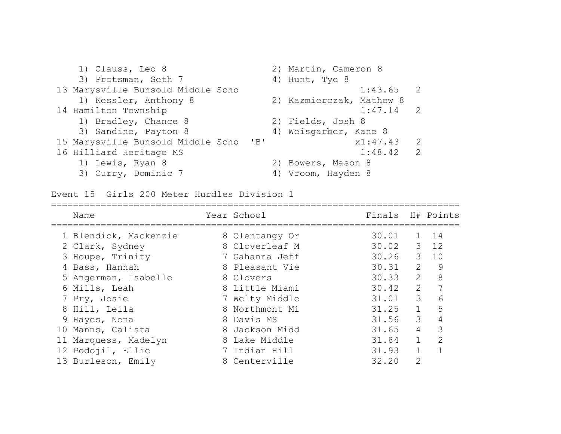| 1) Clauss, Leo 8                  | 2) Martin, Cameron 8                       |
|-----------------------------------|--------------------------------------------|
| 3) Protsman, Seth 7               | 4) Hunt, Tye 8                             |
| 13 Marysville Bunsold Middle Scho | $1:43.65$ 2                                |
| 1) Kessler, Anthony 8             | 2) Kazmierczak, Mathew 8                   |
| 14 Hamilton Township              | 1:47.14                                    |
| 1) Bradley, Chance 8              | 2) Fields, Josh 8                          |
| 3) Sandine, Payton 8              | 4) Weisgarber, Kane 8                      |
| 15 Marysville Bunsold Middle Scho | x1:47.43<br>$\mathbf{B}$<br>$\overline{2}$ |
| 16 Hilliard Heritage MS           | 1:48.42<br>$\overline{2}$                  |
| 1) Lewis, Ryan 8                  | 2) Bowers, Mason 8                         |
| 3) Curry, Dominic 7               | 4) Vroom, Hayden 8                         |

Event 15 Girls 200 Meter Hurdles Division 1

| Name                  | Year School    | Finals H# Points |                         |                             |
|-----------------------|----------------|------------------|-------------------------|-----------------------------|
| 1 Blendick, Mackenzie | 8 Olentangy Or | 30.01            | $\mathbf{1}$            | 14                          |
| 2 Clark, Sydney       | 8 Cloverleaf M | 30.02 3 12       |                         |                             |
| 3 Houpe, Trinity      | 7 Gahanna Jeff | 30.26            | $\mathcal{S}$           | 10                          |
| 4 Bass, Hannah        | 8 Pleasant Vie | 30.31            | 2                       | $\overline{9}$              |
| 5 Angerman, Isabelle  | 8 Clovers      | 30.33            | $\overline{2}$          | 8                           |
| 6 Mills, Leah         | 8 Little Miami | 30.42            | $\overline{2}$          |                             |
| 7 Pry, Josie          | 7 Welty Middle | 31.01            | $\overline{\mathbf{3}}$ | 6                           |
| 8 Hill, Leila         | 8 Northmont Mi | 31.25            | $\mathbf{1}$            | 5                           |
| 9 Hayes, Nena         | 8 Davis MS     | 31.56            | 3                       | 4                           |
| 10 Manns, Calista     | 8 Jackson Midd | 31.65            | $\overline{4}$          | 3                           |
| 11 Marquess, Madelyn  | 8 Lake Middle  | 31.84            | $\mathbf{1}$            | $\mathcal{D}_{\mathcal{L}}$ |
| 12 Podojil, Ellie     | 7 Indian Hill  | 31.93            | $\mathbf{1}$            |                             |
| 13 Burleson, Emily    | 8 Centerville  | 32.20            | $\overline{2}$          |                             |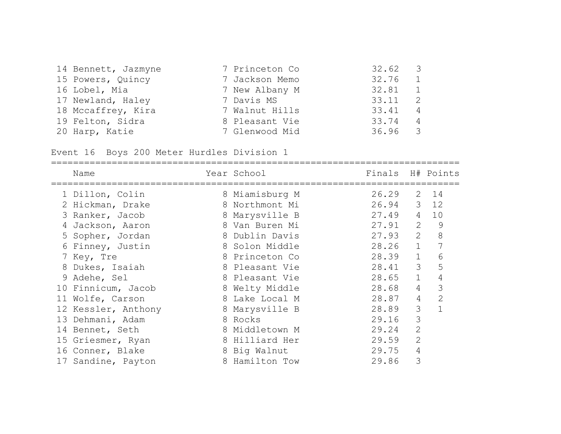| 14 Bennett, Jazmyne | 7 Princeton Co | 32.62     | $\overline{3}$ |
|---------------------|----------------|-----------|----------------|
| 15 Powers, Quincy   | 7 Jackson Memo | 32.76 1   |                |
| 16 Lobel, Mia       | 7 New Albany M | 32.81     | $\sim$ 1       |
| 17 Newland, Haley   | 7 Davis MS     | 33.11     | $\overline{2}$ |
| 18 Mccaffrey, Kira  | 7 Walnut Hills | 33.41     | $\overline{4}$ |
| 19 Felton, Sidra    | 8 Pleasant Vie | 33.74     | $\overline{4}$ |
| 20 Harp, Katie      | 7 Glenwood Mid | $36.96$ 3 |                |

Event 16 Boys 200 Meter Hurdles Division 1

| Name                | Year School    | Finals H# Points |                |                |
|---------------------|----------------|------------------|----------------|----------------|
| 1 Dillon, Colin     | 8 Miamisburg M | 26.29            |                | $2 \t14$       |
| 2 Hickman, Drake    | 8 Northmont Mi | 26.94 3 12       |                |                |
| 3 Ranker, Jacob     | 8 Marysville B | 27.49            | $\overline{4}$ | 10             |
| 4 Jackson, Aaron    | 8 Van Buren Mi | 27.91            | 2              | 9              |
| 5 Sopher, Jordan    | 8 Dublin Davis | 27.93            | 2              | 8              |
| 6 Finney, Justin    | 8 Solon Middle | 28.26            | $\mathbf{1}$   |                |
| 7 Key, Tre          | 8 Princeton Co | 28.39            | $\mathbf{1}$   | 6              |
| 8 Dukes, Isaiah     | 8 Pleasant Vie | 28.41            | 3              | 5              |
| 9 Adehe, Sel        | 8 Pleasant Vie | 28.65            | $\mathbf{1}$   | 4              |
| 10 Finnicum, Jacob  | 8 Welty Middle | 28.68            | $\overline{4}$ | 3              |
| 11 Wolfe, Carson    | 8 Lake Local M | 28.87            | $\overline{4}$ | $\overline{2}$ |
| 12 Kessler, Anthony | 8 Marysville B | 28.89            | 3              | $\mathbf{1}$   |
| 13 Dehmani, Adam    | 8 Rocks        | 29.16            | 3              |                |
| 14 Bennet, Seth     | 8 Middletown M | 29.24            | 2              |                |
| 15 Griesmer, Ryan   | 8 Hilliard Her | 29.59            | $\overline{2}$ |                |
| 16 Conner, Blake    | 8 Big Walnut   | 29.75            | 4              |                |
| 17 Sandine, Payton  | 8 Hamilton Tow | 29.86            | 3              |                |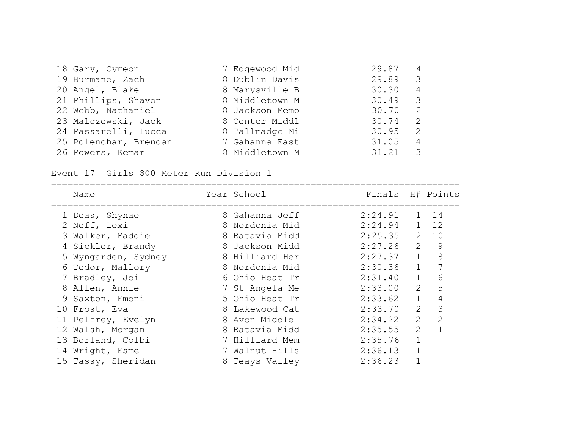| 18 Gary, Cymeon       | 7 Edgewood Mid | 29.87 | 4                       |
|-----------------------|----------------|-------|-------------------------|
| 19 Burmane, Zach      | 8 Dublin Davis | 29.89 | $\overline{\mathbf{3}}$ |
| 20 Angel, Blake       | 8 Marysville B | 30.30 | 4                       |
| 21 Phillips, Shavon   | 8 Middletown M | 30.49 | $\overline{3}$          |
| 22 Webb, Nathaniel    | 8 Jackson Memo | 30.70 | 2                       |
| 23 Malczewski, Jack   | 8 Center Middl | 30.74 | $\mathcal{L}$           |
| 24 Passarelli, Lucca  | 8 Tallmadge Mi | 30.95 | 2                       |
| 25 Polenchar, Brendan | 7 Gahanna East | 31.05 | 4                       |
| 26 Powers, Kemar      | 8 Middletown M | 31.21 | 3                       |

Event 17 Girls 800 Meter Run Division 1

| Name                | Year School    | Finals H# Points |                |                |
|---------------------|----------------|------------------|----------------|----------------|
| 1 Deas, Shynae      | 8 Gahanna Jeff | 2:24.91          | $\mathbf{1}$   | 14             |
| 2 Neff, Lexi        | 8 Nordonia Mid | 2:24.94          | $\mathbf{1}$   | 12             |
| 3 Walker, Maddie    | 8 Batavia Midd | 2:25.35          | $\mathbf{2}$   | 10             |
| 4 Sickler, Brandy   | 8 Jackson Midd | 2:27.26          | 2              | 9              |
| 5 Wyngarden, Sydney | 8 Hilliard Her | 2:27.37          | $\mathbf{1}$   | 8              |
| 6 Tedor, Mallory    | 8 Nordonia Mid | 2:30.36          | $\mathbf{1}$   | 7              |
| 7 Bradley, Joi      | 6 Ohio Heat Tr | 2:31.40          | $\mathbf{1}$   | 6              |
| 8 Allen, Annie      | 7 St Angela Me | 2:33.00          | 2              | 5              |
| 9 Saxton, Emoni     | 5 Ohio Heat Tr | 2:33.62          | $\mathbf{1}$   | 4              |
| 10 Frost, Eva       | 8 Lakewood Cat | 2:33.70          | 2              | 3              |
| 11 Pelfrey, Evelyn  | 8 Avon Middle  | 2:34.22          | $\overline{2}$ | $\overline{2}$ |
| 12 Walsh, Morgan    | 8 Batavia Midd | 2:35.55          | $\mathbf{2}$   | 1              |
| 13 Borland, Colbi   | 7 Hilliard Mem | 2:35.76          |                |                |
| 14 Wright, Esme     | 7 Walnut Hills | 2:36.13          |                |                |
| 15 Tassy, Sheridan  | 8 Teays Valley | 2:36.23          |                |                |
|                     |                |                  |                |                |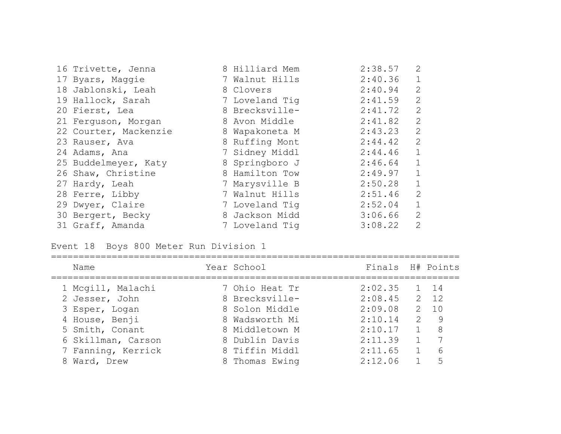| 16 Trivette, Jenna    | 8 Hilliard Mem | 2:38.57     | 2              |
|-----------------------|----------------|-------------|----------------|
| 17 Byars, Maggie      | 7 Walnut Hills | 2:40.36     | $\mathbf{1}$   |
| 18 Jablonski, Leah    | 8 Clovers      | 2:40.94     | $\overline{2}$ |
| 19 Hallock, Sarah     | 7 Loveland Tig | 2:41.59     | $\mathbf{2}$   |
| 20 Fierst, Lea        | 8 Brecksville- | 2:41.72     | 2              |
| 21 Ferguson, Morgan   | 8 Avon Middle  | 2:41.82     | 2              |
| 22 Courter, Mackenzie | 8 Wapakoneta M | 2:43.23     | 2              |
| 23 Rauser, Ava        | 8 Ruffing Mont | 2:44.42     | 2              |
| 24 Adams, Ana         | 7 Sidney Middl | 2:44.46     | $\overline{1}$ |
| 25 Buddelmeyer, Katy  | 8 Springboro J | $2:46.64$ 1 |                |
| 26 Shaw, Christine    | 8 Hamilton Tow | 2:49.97     | $\mathbf{1}$   |
| 27 Hardy, Leah        | 7 Marysville B | 2:50.28     | $\mathbf{1}$   |
| 28 Ferre, Libby       | 7 Walnut Hills | 2:51.46     | 2              |
| 29 Dwyer, Claire      | 7 Loveland Tig | 2:52.04     | $\mathbf{1}$   |
| 30 Bergert, Becky     | 8 Jackson Midd | 3:06.66     | 2              |
| 31 Graff, Amanda      | 7 Loveland Tig | 3:08.22     | 2              |

Event 18 Boys 800 Meter Run Division 1

| Name               | Year School    | Finals H# Points |               |              |
|--------------------|----------------|------------------|---------------|--------------|
| 1 Mcgill, Malachi  | 7 Ohio Heat Tr | 2:02.35          |               | $1 \t14$     |
| 2 Jesser, John     | 8 Brecksville- | 2:08.45          |               | $2 \quad 12$ |
| 3 Esper, Logan     | 8 Solon Middle | 2:09.08          | $\mathcal{P}$ | 10           |
| 4 House, Benji     | 8 Wadsworth Mi | 2:10.14          | $\mathcal{P}$ | - 9          |
| 5 Smith, Conant    | 8 Middletown M | 2:10.17          |               | 8            |
| 6 Skillman, Carson | 8 Dublin Davis | 2:11.39          |               |              |
| 7 Fanning, Kerrick | 8 Tiffin Middl | 2:11.65          |               | 6            |
| 8 Ward, Drew       | 8 Thomas Ewing | 2:12.06          |               | 5            |
|                    |                |                  |               |              |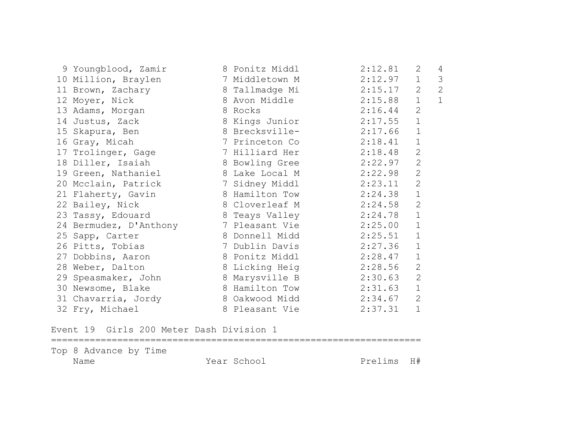| 9 Youngblood, Zamir 8 Ponitz Middl |                        | 2:12.81 | 2              | 4            |
|------------------------------------|------------------------|---------|----------------|--------------|
| 10 Million, Braylen                | 7 Middletown M         | 2:12.97 | 1              | 3            |
| 11 Brown, Zachary                  | 8 Tallmadge Mi         | 2:15.17 | $\mathbf{2}$   | $\mathbf{2}$ |
| 12 Moyer, Nick                     | 8 Avon Middle          | 2:15.88 | $\mathbf{1}$   | $\mathbf{1}$ |
| 13 Adams, Morgan                   | 8 Rocks                | 2:16.44 | $\overline{2}$ |              |
| 14 Justus, Zack                    | 8 Kings Junior         | 2:17.55 | $\mathbf 1$    |              |
| 15 Skapura, Ben                    | 8 Brecksville-         | 2:17.66 | $\mathbf{1}$   |              |
| 16 Gray, Micah                     | 7 Princeton Co         | 2:18.41 | $\mathbf 1$    |              |
| 17 Trolinger, Gage                 | 7 Hilliard Her         | 2:18.48 | $\mathbf{2}$   |              |
| 18 Diller, Isaiah                  | 8 Bowling Gree         | 2:22.97 | $\mathbf{2}$   |              |
| 19 Green, Nathaniel                | 8 Lake Local M         | 2:22.98 | $\overline{2}$ |              |
| 20 Mcclain, Patrick                | 7 Sidney Middl         | 2:23.11 | $\overline{2}$ |              |
| 21 Flaherty, Gavin                 | 8 Hamilton Tow 2:24.38 |         | $\mathbf 1$    |              |
| 22 Bailey, Nick                    | 8 Cloverleaf M         | 2:24.58 | $\mathbf{2}$   |              |
| 23 Tassy, Edouard                  | 8 Teays Valley         | 2:24.78 | $\mathbf 1$    |              |
| 24 Bermudez, D'Anthony             | 7 Pleasant Vie         | 2:25.00 | $\mathbf 1$    |              |
| 25 Sapp, Carter                    | 8 Donnell Midd         | 2:25.51 | $\mathbf 1$    |              |
| 26 Pitts, Tobias                   | 7 Dublin Davis         | 2:27.36 | $\mathbf{1}$   |              |
| 27 Dobbins, Aaron                  | 8 Ponitz Middl         | 2:28.47 | $\mathbf 1$    |              |
| 28 Weber, Dalton                   | 8 Licking Heig         | 2:28.56 | $\mathbf{2}$   |              |
| 29 Speasmaker, John                | 8 Marysville B         | 2:30.63 | $\overline{2}$ |              |
| 30 Newsome, Blake                  | 8 Hamilton Tow         | 2:31.63 | $\mathbf 1$    |              |
| 31 Chavarria, Jordy                | 8 Oakwood Midd         | 2:34.67 | $\mathbf{2}$   |              |
| 32 Fry, Michael                    | 8 Pleasant Vie         | 2:37.31 | $\mathbf 1$    |              |

Event 19 Girls 200 Meter Dash Division 1

Top 8 Advance by Time Name Year School Prelims H#

===================================================================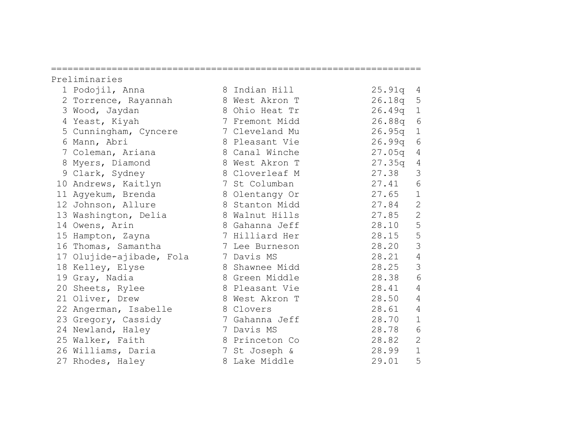|                                                                                                                                                                                                                                                                                                                                                                                                                                                                                                                                                    |                                                  | 25.91q                                                                                                                                                                                                                                                                                                                                                                                                                                                                            | 4              |
|----------------------------------------------------------------------------------------------------------------------------------------------------------------------------------------------------------------------------------------------------------------------------------------------------------------------------------------------------------------------------------------------------------------------------------------------------------------------------------------------------------------------------------------------------|--------------------------------------------------|-----------------------------------------------------------------------------------------------------------------------------------------------------------------------------------------------------------------------------------------------------------------------------------------------------------------------------------------------------------------------------------------------------------------------------------------------------------------------------------|----------------|
|                                                                                                                                                                                                                                                                                                                                                                                                                                                                                                                                                    |                                                  | 26.18q                                                                                                                                                                                                                                                                                                                                                                                                                                                                            | 5              |
|                                                                                                                                                                                                                                                                                                                                                                                                                                                                                                                                                    |                                                  | 26.49q                                                                                                                                                                                                                                                                                                                                                                                                                                                                            | $\mathbf{1}$   |
|                                                                                                                                                                                                                                                                                                                                                                                                                                                                                                                                                    |                                                  | 26.88q                                                                                                                                                                                                                                                                                                                                                                                                                                                                            | 6              |
|                                                                                                                                                                                                                                                                                                                                                                                                                                                                                                                                                    |                                                  | 26.95q                                                                                                                                                                                                                                                                                                                                                                                                                                                                            | $\mathbf{1}$   |
|                                                                                                                                                                                                                                                                                                                                                                                                                                                                                                                                                    |                                                  | 26.99q                                                                                                                                                                                                                                                                                                                                                                                                                                                                            | 6              |
|                                                                                                                                                                                                                                                                                                                                                                                                                                                                                                                                                    |                                                  | 27.05q                                                                                                                                                                                                                                                                                                                                                                                                                                                                            | 4              |
|                                                                                                                                                                                                                                                                                                                                                                                                                                                                                                                                                    |                                                  | 27.35q                                                                                                                                                                                                                                                                                                                                                                                                                                                                            | 4              |
|                                                                                                                                                                                                                                                                                                                                                                                                                                                                                                                                                    |                                                  | 27.38                                                                                                                                                                                                                                                                                                                                                                                                                                                                             | 3              |
|                                                                                                                                                                                                                                                                                                                                                                                                                                                                                                                                                    |                                                  | 27.41                                                                                                                                                                                                                                                                                                                                                                                                                                                                             | 6              |
|                                                                                                                                                                                                                                                                                                                                                                                                                                                                                                                                                    |                                                  | 27.65                                                                                                                                                                                                                                                                                                                                                                                                                                                                             | $\mathbf 1$    |
|                                                                                                                                                                                                                                                                                                                                                                                                                                                                                                                                                    |                                                  |                                                                                                                                                                                                                                                                                                                                                                                                                                                                                   | $\sqrt{2}$     |
|                                                                                                                                                                                                                                                                                                                                                                                                                                                                                                                                                    |                                                  | 27.85                                                                                                                                                                                                                                                                                                                                                                                                                                                                             | $\overline{2}$ |
|                                                                                                                                                                                                                                                                                                                                                                                                                                                                                                                                                    |                                                  | 28.10                                                                                                                                                                                                                                                                                                                                                                                                                                                                             | 5              |
|                                                                                                                                                                                                                                                                                                                                                                                                                                                                                                                                                    |                                                  | 28.15                                                                                                                                                                                                                                                                                                                                                                                                                                                                             | $\mathsf S$    |
|                                                                                                                                                                                                                                                                                                                                                                                                                                                                                                                                                    |                                                  | 28.20                                                                                                                                                                                                                                                                                                                                                                                                                                                                             | $\mathcal{S}$  |
|                                                                                                                                                                                                                                                                                                                                                                                                                                                                                                                                                    |                                                  | 28.21                                                                                                                                                                                                                                                                                                                                                                                                                                                                             | 4              |
|                                                                                                                                                                                                                                                                                                                                                                                                                                                                                                                                                    |                                                  | 28.25                                                                                                                                                                                                                                                                                                                                                                                                                                                                             | 3              |
|                                                                                                                                                                                                                                                                                                                                                                                                                                                                                                                                                    |                                                  | 28.38                                                                                                                                                                                                                                                                                                                                                                                                                                                                             | 6              |
|                                                                                                                                                                                                                                                                                                                                                                                                                                                                                                                                                    |                                                  | 28.41                                                                                                                                                                                                                                                                                                                                                                                                                                                                             | $\overline{4}$ |
|                                                                                                                                                                                                                                                                                                                                                                                                                                                                                                                                                    |                                                  | 28.50                                                                                                                                                                                                                                                                                                                                                                                                                                                                             | $\overline{4}$ |
|                                                                                                                                                                                                                                                                                                                                                                                                                                                                                                                                                    |                                                  | 28.61                                                                                                                                                                                                                                                                                                                                                                                                                                                                             | $\overline{4}$ |
|                                                                                                                                                                                                                                                                                                                                                                                                                                                                                                                                                    |                                                  | 28.70                                                                                                                                                                                                                                                                                                                                                                                                                                                                             | $\mathbf{1}$   |
|                                                                                                                                                                                                                                                                                                                                                                                                                                                                                                                                                    |                                                  | 28.78                                                                                                                                                                                                                                                                                                                                                                                                                                                                             | $\epsilon$     |
|                                                                                                                                                                                                                                                                                                                                                                                                                                                                                                                                                    |                                                  | 28.82                                                                                                                                                                                                                                                                                                                                                                                                                                                                             | $\mathbf{2}$   |
|                                                                                                                                                                                                                                                                                                                                                                                                                                                                                                                                                    |                                                  | 28.99                                                                                                                                                                                                                                                                                                                                                                                                                                                                             | $\mathbf{1}$   |
|                                                                                                                                                                                                                                                                                                                                                                                                                                                                                                                                                    |                                                  | 29.01                                                                                                                                                                                                                                                                                                                                                                                                                                                                             | 5              |
| Preliminaries<br>1 Podojil, Anna<br>2 Torrence, Rayannah<br>3 Wood, Jaydan<br>4 Yeast, Kiyah<br>5 Cunningham, Cyncere<br>6 Mann, Abri<br>7 Coleman, Ariana<br>8 Myers, Diamond<br>9 Clark, Sydney<br>10 Andrews, Kaitlyn<br>11 Agyekum, Brenda<br>12 Johnson, Allure<br>14 Owens, Arin<br>15 Hampton, Zayna<br>16 Thomas, Samantha<br>18 Kelley, Elyse<br>19 Gray, Nadia<br>20 Sheets, Rylee<br>21 Oliver, Drew<br>22 Angerman, Isabelle<br>23 Gregory, Cassidy<br>24 Newland, Haley<br>25 Walker, Faith<br>26 Williams, Daria<br>27 Rhodes, Haley | 13 Washington, Delia<br>17 Olujide-ajibade, Fola | 8 Indian Hill<br>8 West Akron T<br>8 Ohio Heat Tr<br>7 Fremont Midd<br>7 Cleveland Mu<br>8 Pleasant Vie<br>8 Canal Winche<br>8 West Akron T<br>8 Cloverleaf M<br>7 St Columban<br>8 Olentangy Or<br>8 Stanton Midd<br>8 Walnut Hills<br>8 Gahanna Jeff<br>7 Hilliard Her<br>7 Lee Burneson<br>7 Davis MS<br>8 Shawnee Midd<br>8 Green Middle<br>8 Pleasant Vie<br>8 West Akron T<br>8 Clovers<br>7 Gahanna Jeff<br>7 Davis MS<br>8 Princeton Co<br>7 St Joseph &<br>8 Lake Middle | 27.84          |

===================================================================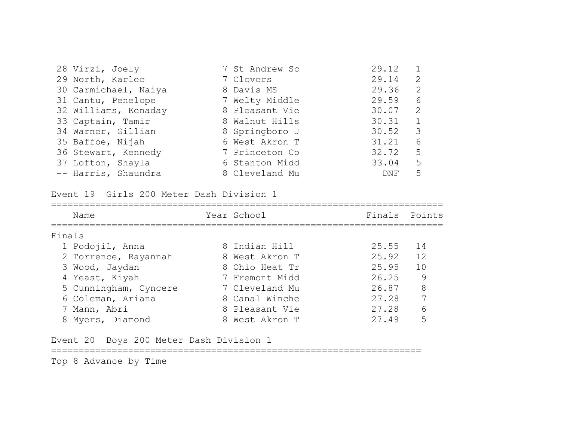| 28 Virzi, Joely      | 7 St Andrew Sc | 29.12      |                |
|----------------------|----------------|------------|----------------|
| 29 North, Karlee     | 7 Clovers      | 29.14      | 2              |
| 30 Carmichael, Naiya | 8 Davis MS     | 29.36      | -2             |
| 31 Cantu, Penelope   | 7 Welty Middle | 29.59      | 6              |
| 32 Williams, Kenaday | 8 Pleasant Vie | 30.07      | 2              |
| 33 Captain, Tamir    | 8 Walnut Hills | 30.31      | $\overline{1}$ |
| 34 Warner, Gillian   | 8 Springboro J | 30.52      | -3             |
| 35 Baffoe, Nijah     | 6 West Akron T | 31.21      | 6              |
| 36 Stewart, Kennedy  | 7 Princeton Co | 32.72      | 5              |
| 37 Lofton, Shayla    | 6 Stanton Midd | 33.04      | 5              |
| -- Harris, Shaundra  | 8 Cleveland Mu | <b>DNF</b> | 5              |

Event 19 Girls 200 Meter Dash Division 1

| Name                  | Year School    | Finals Points |    |
|-----------------------|----------------|---------------|----|
| Finals                |                |               |    |
| 1 Podojil, Anna       | 8 Indian Hill  | 25.55 14      |    |
| 2 Torrence, Rayannah  | 8 West Akron T | 25.92 12      |    |
| 3 Wood, Jaydan        | 8 Ohio Heat Tr | 25.95         | 10 |
| 4 Yeast, Kiyah        | 7 Fremont Midd | 26.25         | 9  |
| 5 Cunningham, Cyncere | 7 Cleveland Mu | 26.87         | 8  |
| 6 Coleman, Ariana     | 8 Canal Winche | 27.28         | 7  |
| 7 Mann, Abri          | 8 Pleasant Vie | 27.28         | 6  |
| 8 Myers, Diamond      | 8 West Akron T | 27.49         | 5  |

Event 20 Boys 200 Meter Dash Division 1

===================================================================

Top 8 Advance by Time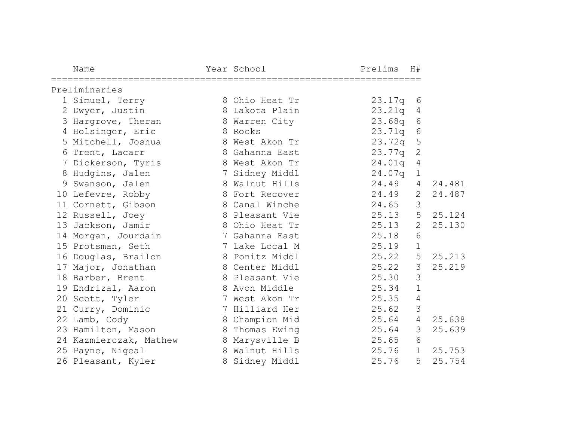| Name                                                 | Year School    | Prelims                      | H#             |        |
|------------------------------------------------------|----------------|------------------------------|----------------|--------|
| ===================================<br>Preliminaries |                | ============================ |                |        |
| 1 Simuel, Terry                                      | 8 Ohio Heat Tr | 23.17q                       | 6              |        |
| 2 Dwyer, Justin                                      | 8 Lakota Plain | 23.21q                       | 4              |        |
| 3 Hargrove, Theran                                   | 8 Warren City  | 23.68q                       | 6              |        |
| 4 Holsinger, Eric                                    | 8 Rocks        | 23.71q                       | 6              |        |
| 5 Mitchell, Joshua                                   | 8 West Akon Tr | 23.72q                       | 5              |        |
| 6 Trent, Lacarr                                      | 8 Gahanna East | 23.77q                       | $\mathbf{2}$   |        |
| 7 Dickerson, Tyris                                   | 8 West Akon Tr | 24.01q                       | 4              |        |
| 8 Hudgins, Jalen                                     | 7 Sidney Middl | 24.07q                       | $1\,$          |        |
| 9 Swanson, Jalen                                     | 8 Walnut Hills | 24.49                        | 4              | 24.481 |
| 10 Lefevre, Robby                                    | 8 Fort Recover | 24.49                        | 2              | 24.487 |
| 11 Cornett, Gibson                                   | 8 Canal Winche | 24.65                        | 3              |        |
| 12 Russell, Joey                                     | 8 Pleasant Vie | 25.13                        | 5              | 25.124 |
| 13 Jackson, Jamir                                    | 8 Ohio Heat Tr | 25.13                        | 2              | 25.130 |
| 14 Morgan, Jourdain                                  | 7 Gahanna East | 25.18                        | 6              |        |
| 15 Protsman, Seth                                    | 7 Lake Local M | 25.19                        | $\mathbf 1$    |        |
| 16 Douglas, Brailon                                  | 8 Ponitz Middl | 25.22                        | 5              | 25.213 |
| 17 Major, Jonathan                                   | 8 Center Middl | 25.22                        | 3              | 25.219 |
| 18 Barber, Brent                                     | 8 Pleasant Vie | 25.30                        | 3              |        |
| 19 Endrizal, Aaron                                   | 8 Avon Middle  | 25.34                        | $\mathbf 1$    |        |
| 20 Scott, Tyler                                      | 7 West Akon Tr | 25.35                        | $\overline{4}$ |        |
| 21 Curry, Dominic                                    | 7 Hilliard Her | 25.62                        | $\mathfrak{Z}$ |        |
| 22 Lamb, Cody                                        | 8 Champion Mid | 25.64                        | $\overline{4}$ | 25.638 |
| 23 Hamilton, Mason                                   | 8 Thomas Ewing | 25.64                        | $\mathcal{S}$  | 25.639 |
| 24 Kazmierczak, Mathew                               | 8 Marysville B | 25.65                        | 6              |        |
| 25 Payne, Nigeal                                     | 8 Walnut Hills | 25.76                        | $\mathbf{1}$   | 25.753 |
| 26 Pleasant, Kyler                                   | 8 Sidney Middl | 25.76                        | 5              | 25.754 |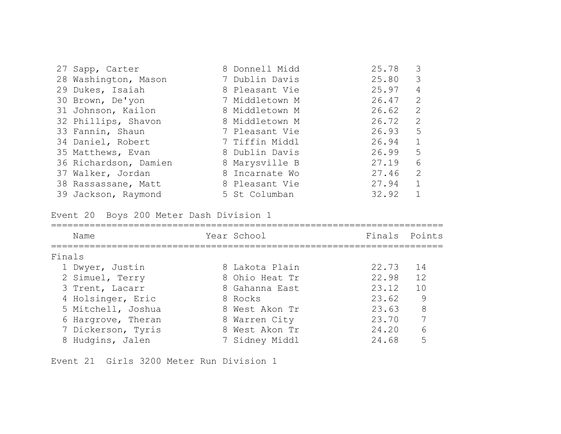| 27 Sapp, Carter       | 8 Donnell Midd | 25.78     | 3                       |
|-----------------------|----------------|-----------|-------------------------|
| 28 Washington, Mason  | 7 Dublin Davis | 25.80     | $\overline{\mathbf{3}}$ |
| 29 Dukes, Isaiah      | 8 Pleasant Vie | 25.97     | 4                       |
| 30 Brown, De'yon      | 7 Middletown M | 26.47     | 2                       |
| 31 Johnson, Kailon    | 8 Middletown M | 26.62     | 2                       |
| 32 Phillips, Shavon   | 8 Middletown M | 26.72     | 2                       |
| 33 Fannin, Shaun      | 7 Pleasant Vie | $26.93$ 5 |                         |
| 34 Daniel, Robert     | 7 Tiffin Middl | 26.94     | $\overline{1}$          |
| 35 Matthews, Evan     | 8 Dublin Davis | 26.99     | 5                       |
| 36 Richardson, Damien | 8 Marysville B | 27.19     | 6                       |
| 37 Walker, Jordan     | 8 Incarnate Wo | 27.46     | 2                       |
| 38 Rassassane, Matt   | 8 Pleasant Vie | 27.94     | $\overline{1}$          |
| 39 Jackson, Raymond   | 5 St Columban  | 32.92     | 1                       |

Event 20 Boys 200 Meter Dash Division 1

|        | Name               | Year School    | Finals Points |    |
|--------|--------------------|----------------|---------------|----|
| Finals |                    |                |               |    |
|        | 1 Dwyer, Justin    | 8 Lakota Plain | 22.73         | 14 |
|        | 2 Simuel, Terry    | 8 Ohio Heat Tr | 22.98         | 12 |
|        | 3 Trent, Lacarr    | 8 Gahanna East | 23.12         | 10 |
|        | 4 Holsinger, Eric  | 8 Rocks        | 23.62         | 9  |
|        | 5 Mitchell, Joshua | 8 West Akon Tr | 23.63         | 8  |
|        | 6 Hargrove, Theran | 8 Warren City  | 23.70         | 7  |
|        | 7 Dickerson, Tyris | 8 West Akon Tr | 24.20         | 6  |
|        | 8 Hudgins, Jalen   | 7 Sidney Middl | 24.68         | 5  |

Event 21 Girls 3200 Meter Run Division 1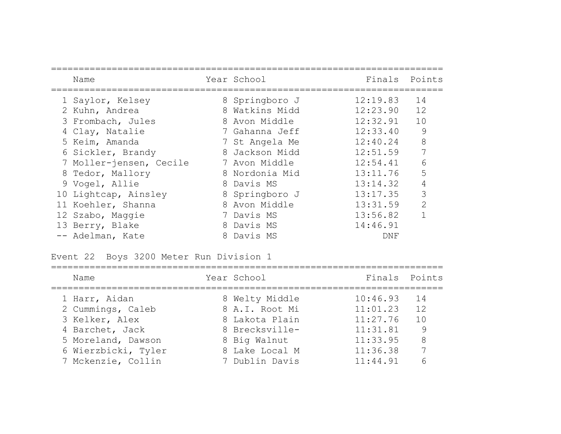| Name                    | Year School    | Finals Points |               |
|-------------------------|----------------|---------------|---------------|
| 1 Saylor, Kelsey        | 8 Springboro J | 12:19.83      | 14            |
| 2 Kuhn, Andrea          | 8 Watkins Midd | 12:23.90      | 12            |
| 3 Frombach, Jules       | 8 Avon Middle  | 12:32.91      | 10            |
| 4 Clay, Natalie         | 7 Gahanna Jeff | 12:33.40      | 9             |
| 5 Keim, Amanda          | 7 St Angela Me | 12:40.24      | 8             |
| 6 Sickler, Brandy       | 8 Jackson Midd | 12:51.59      | 7             |
| 7 Moller-jensen, Cecile | 7 Avon Middle  | 12:54.41      | 6             |
| 8 Tedor, Mallory        | 8 Nordonia Mid | 13:11.76      | 5             |
| 9 Vogel, Allie          | 8 Davis MS     | 13:14.32      | 4             |
| 10 Lightcap, Ainsley    | 8 Springboro J | 13:17.35      | 3             |
| 11 Koehler, Shanna      | 8 Avon Middle  | 13:31.59      | $\mathcal{L}$ |
| 12 Szabo, Maggie        | 7 Davis MS     | 13:56.82      |               |
| 13 Berry, Blake         | 8 Davis MS     | 14:46.91      |               |
| -- Adelman, Kate        | 8 Davis MS     | DNF           |               |

Event 22 Boys 3200 Meter Run Division 1

| Name                | Year School    | Finals Points |      |
|---------------------|----------------|---------------|------|
| 1 Harr, Aidan       | 8 Welty Middle | 10:46.93      | $14$ |
| 2 Cummings, Caleb   | 8 A.I. Root Mi | 11:01.23      | 12   |
| 3 Kelker, Alex      | 8 Lakota Plain | 11:27.76      | 10   |
| 4 Barchet, Jack     | 8 Brecksville- | 11:31.81      | - 9  |
| 5 Moreland, Dawson  | 8 Big Walnut   | 11:33.95      | 8    |
| 6 Wierzbicki, Tyler | 8 Lake Local M | 11:36.38      | 7    |
| 7 Mckenzie, Collin  | 7 Dublin Davis | 11:44.91      |      |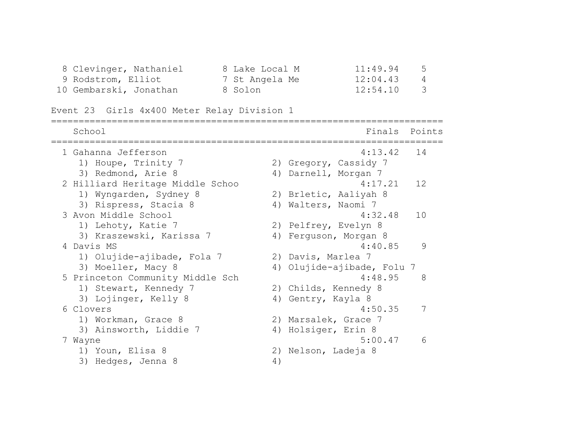| 8 Clevinger, Nathaniel | 8 Lake Local M | 11:49.94     | 5 |
|------------------------|----------------|--------------|---|
| 9 Rodstrom, Elliot     | 7 St Angela Me | 12:04.43     | 4 |
| 10 Gembarski, Jonathan | 8 Solon        | $12:54.10$ 3 |   |

```
Event 23 Girls 4x400 Meter Relay Division 1
```

| School                           | Points<br>Finals           |  |
|----------------------------------|----------------------------|--|
| 1 Gahanna Jefferson              | 4:13.42<br>14              |  |
| 1) Houpe, Trinity 7              | 2) Gregory, Cassidy 7      |  |
| 3) Redmond, Arie 8               | 4) Darnell, Morgan 7       |  |
| 2 Hilliard Heritage Middle Schoo | 12<br>4:17.21              |  |
| 1) Wyngarden, Sydney 8           | 2) Brletic, Aaliyah 8      |  |
| 3) Rispress, Stacia 8            | 4) Walters, Naomi 7        |  |
| 3 Avon Middle School             | 4:32.48<br>10              |  |
| 1) Lehoty, Katie 7               | 2) Pelfrey, Evelyn 8       |  |
| 3) Kraszewski, Karissa 7         | 4) Ferguson, Morgan 8      |  |
| 4 Davis MS                       | 9<br>4:40.85               |  |
| 1) Olujide-ajibade, Fola 7       | 2) Davis, Marlea 7         |  |
| 3) Moeller, Macy 8               | 4) Olujide-ajibade, Folu 7 |  |
| 5 Princeton Community Middle Sch | 4:48.95<br>8               |  |
| 1) Stewart, Kennedy 7            | 2) Childs, Kennedy 8       |  |
| 3) Lojinger, Kelly 8             | 4) Gentry, Kayla 8         |  |
| 6 Clovers                        | 4:50.35<br>7               |  |
| 1) Workman, Grace 8              | 2) Marsalek, Grace 7       |  |
| 3) Ainsworth, Liddie 7           | 4) Holsiger, Erin 8        |  |
| 7 Wayne                          | 5:00.47<br>6               |  |
| 1) Youn, Elisa 8                 | 2) Nelson, Ladeja 8        |  |
| 3) Hedges, Jenna 8               | 4)                         |  |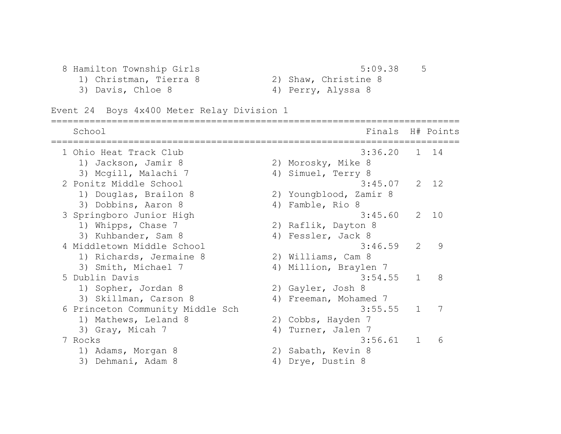8 Hamilton Township Girls 5:09.38 5<br>1) Christman, Tierra 8 31 Shaw, Christing 8

- 
- 1) Christman, Tierra 8 2) Shaw, Christine 8
	-
- 3) Davis, Chloe 8 4) Perry, Alyssa 8

Event 24 Boys 4x400 Meter Relay Division 1

| School                           |    | Finals H# Points       |              |      |
|----------------------------------|----|------------------------|--------------|------|
| 1 Ohio Heat Track Club           |    | 3:36.20                |              | 1 14 |
| 1) Jackson, Jamir 8              |    | 2) Morosky, Mike 8     |              |      |
| 3) Mcgill, Malachi 7             | 4) | Simuel, Terry 8        |              |      |
| 2 Ponitz Middle School           |    | 3:45.07                |              | 2 12 |
| 1) Douglas, Brailon 8            |    | 2) Youngblood, Zamir 8 |              |      |
| 3) Dobbins, Aaron 8              | 4) | Famble, Rio 8          |              |      |
| 3 Springboro Junior High         |    | 3:45.60                | 2            | 10   |
| 1) Whipps, Chase 7               |    | 2) Raflik, Dayton 8    |              |      |
| 3) Kuhbander, Sam 8              |    | 4) Fessler, Jack 8     |              |      |
| 4 Middletown Middle School       |    | 3:46.59                | 2            | 9    |
| 1) Richards, Jermaine 8          |    | 2) Williams, Cam 8     |              |      |
| 3) Smith, Michael 7              |    | 4) Million, Braylen 7  |              |      |
| 5 Dublin Davis                   |    | 3:54.55                | $\mathbf{1}$ | 8    |
| 1) Sopher, Jordan 8              |    | 2) Gayler, Josh 8      |              |      |
| 3) Skillman, Carson 8            |    | 4) Freeman, Mohamed 7  |              |      |
| 6 Princeton Community Middle Sch |    | 3:55.55                | $\mathbf{1}$ | 7    |
| 1) Mathews, Leland 8             |    | 2) Cobbs, Hayden 7     |              |      |
| 3) Gray, Micah 7                 | 4) | Turner, Jalen 7        |              |      |
| 7 Rocks                          |    | 3:56.61                | $\mathbf{1}$ | 6    |
| 1) Adams, Morgan 8               | 2) | Sabath, Kevin 8        |              |      |
| 3) Dehmani, Adam 8               |    | 4) Drye, Dustin 8      |              |      |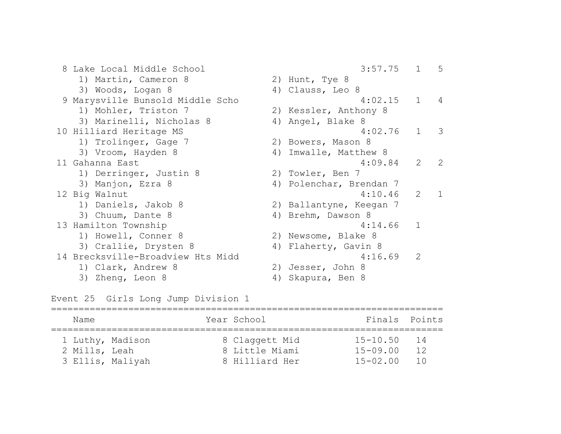8 Lake Local Middle School 3:57.75 1 5 1) Martin, Cameron 8 2) Hunt, Tye 8 3) Woods, Logan 8 4) Clauss, Leo 8 9 Marysville Bunsold Middle Scho 4:02.15 1 4 1) Mohler, Triston 7 2) Kessler, Anthony 8 3) Marinelli, Nicholas 8 (4) Angel, Blake 8 10 Hilliard Heritage MS 4:02.76 1 3 1) Trolinger, Gage 7 2) Bowers, Mason 8 3) Vroom, Hayden 8 4) Imwalle, Matthew 8 11 Gahanna East 4:09.84 2 2 1) Derringer, Justin 8 2) Towler, Ben 7 3) Manjon, Ezra 8 4) Polenchar, Brendan 7 12 Big Walnut 4:10.46 2 1 1) Daniels, Jakob 8 2) Ballantyne, Keegan 7 3) Chuum, Dante 8 4) Brehm, Dawson 8 13 Hamilton Township 13 Hamilton 1 1) Howell, Conner 8 2) Newsome, Blake 8 3) Crallie, Drysten 8 4) Flaherty, Gavin 8 14 Brecksville-Broadview Hts Midd 4:16.69 2 1) Clark, Andrew 8 2) Jesser, John 8 3) Zheng, Leon 8 4) Skapura, Ben 8

Event 25 Girls Long Jump Division 1

| Name             |  | Year School    | Finals Points |    |
|------------------|--|----------------|---------------|----|
| 1 Luthy, Madison |  | 8 Claggett Mid | $15 - 10.50$  | 14 |
| 2 Mills, Leah    |  | 8 Little Miami | $15 - 09.00$  | 12 |
| 3 Ellis, Maliyah |  | 8 Hilliard Her | $15 - 02.00$  | 10 |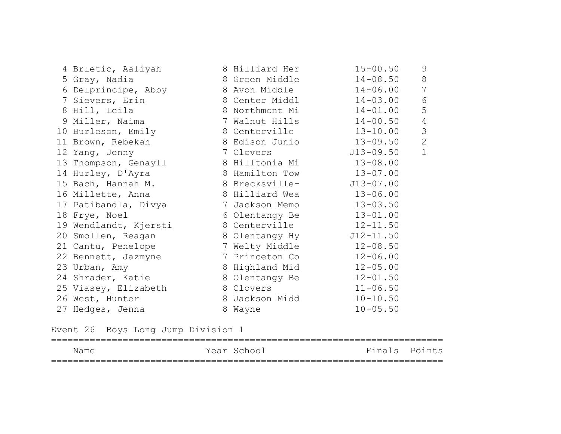|  | 4 Brletic, Aaliyah    | 8 Hilliard Her | $15 - 00.50$  | 9              |
|--|-----------------------|----------------|---------------|----------------|
|  | 5 Gray, Nadia         | 8 Green Middle | $14 - 08.50$  | 8              |
|  | 6 Delprincipe, Abby   | 8 Avon Middle  | $14 - 06.00$  | 7              |
|  | 7 Sievers, Erin       | 8 Center Middl | $14 - 03.00$  | $6\,$          |
|  | 8 Hill, Leila         | 8 Northmont Mi | $14 - 01.00$  | 5              |
|  | 9 Miller, Naima       | 7 Walnut Hills | $14 - 00.50$  | $\overline{4}$ |
|  | 10 Burleson, Emily    | 8 Centerville  | $13 - 10.00$  | 3              |
|  | 11 Brown, Rebekah     | 8 Edison Junio | $13 - 09.50$  | 2              |
|  | 12 Yang, Jenny        | 7 Clovers      | J13-09.50     | $\mathbf{1}$   |
|  | 13 Thompson, Genayll  | 8 Hilltonia Mi | $13 - 08.00$  |                |
|  | 14 Hurley, D'Ayra     | 8 Hamilton Tow | $13 - 07.00$  |                |
|  | 15 Bach, Hannah M.    | 8 Brecksville- | $J13 - 07.00$ |                |
|  | 16 Millette, Anna     | 8 Hilliard Wea | $13 - 06.00$  |                |
|  | 17 Patibandla, Divya  | 7 Jackson Memo | $13 - 03.50$  |                |
|  | 18 Frye, Noel         | 6 Olentangy Be | $13 - 01.00$  |                |
|  | 19 Wendlandt, Kjersti | 8 Centerville  | $12 - 11.50$  |                |
|  | 20 Smollen, Reagan    | 8 Olentangy Hy | $J12 - 11.50$ |                |
|  | 21 Cantu, Penelope    | 7 Welty Middle | $12 - 08.50$  |                |
|  | 22 Bennett, Jazmyne   | 7 Princeton Co | $12 - 06.00$  |                |
|  | 23 Urban, Amy         | 8 Highland Mid | $12 - 05.00$  |                |
|  | 24 Shrader, Katie     | 8 Olentangy Be | $12 - 01.50$  |                |
|  | 25 Viasey, Elizabeth  | 8 Clovers      | $11 - 06.50$  |                |
|  | 26 West, Hunter       | 8 Jackson Midd | $10 - 10.50$  |                |
|  | 27 Hedges, Jenna      | 8 Wayne        | $10 - 05.50$  |                |

Event 26 Boys Long Jump Division 1

| Name | Year School |  | Finals Points |
|------|-------------|--|---------------|
|      |             |  |               |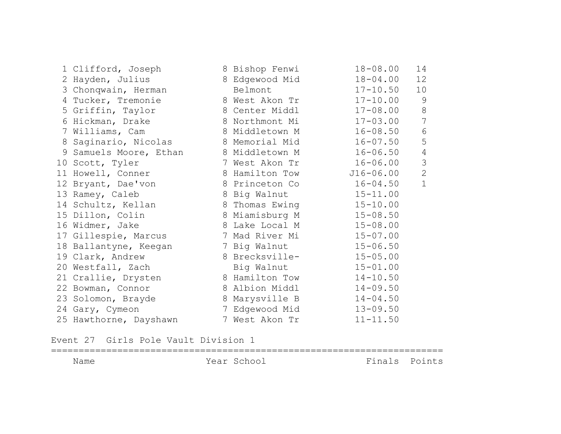| 1 Clifford, Joseph                    | 8 Bishop Fenwi | $18 - 08.00$  | 14             |
|---------------------------------------|----------------|---------------|----------------|
| 2 Hayden, Julius                      | 8 Edgewood Mid | $18 - 04.00$  | 12             |
| 3 Chonqwain, Herman                   | Belmont        | $17 - 10.50$  | 10             |
| 4 Tucker, Tremonie                    | 8 West Akon Tr | $17 - 10.00$  | $\overline{9}$ |
| 5 Griffin, Taylor                     | 8 Center Middl | $17 - 08.00$  | $8\,$          |
| 6 Hickman, Drake                      | 8 Northmont Mi | $17 - 03.00$  | $\overline{7}$ |
| 7 Williams, Cam                       | 8 Middletown M | $16 - 08.50$  | $6\,$          |
| 8 Saginario, Nicolas                  | 8 Memorial Mid | $16 - 07.50$  | 5              |
| 9 Samuels Moore, Ethan 8 Middletown M |                | $16 - 06.50$  | $\overline{4}$ |
| 10 Scott, Tyler                       | 7 West Akon Tr | $16 - 06.00$  | 3              |
| 11 Howell, Conner                     | 8 Hamilton Tow | $J16 - 06.00$ | $\overline{2}$ |
| 12 Bryant, Dae'von                    | 8 Princeton Co | $16 - 04.50$  | $\mathbf{1}$   |
| 13 Ramey, Caleb                       | 8 Big Walnut   | $15 - 11.00$  |                |
| 14 Schultz, Kellan                    | 8 Thomas Ewing | $15 - 10.00$  |                |
| 15 Dillon, Colin                      | 8 Miamisburg M | $15 - 08.50$  |                |
| 16 Widmer, Jake                       | 8 Lake Local M | $15 - 08.00$  |                |
| 17 Gillespie, Marcus                  | 7 Mad River Mi | $15 - 07.00$  |                |
| 18 Ballantyne, Keegan                 | 7 Big Walnut   | $15 - 06.50$  |                |
| 19 Clark, Andrew                      | 8 Brecksville- | $15 - 05.00$  |                |
| 20 Westfall, Zach                     | Big Walnut     | $15 - 01.00$  |                |
| 21 Crallie, Drysten                   | 8 Hamilton Tow | $14 - 10.50$  |                |
| 22 Bowman, Connor                     | 8 Albion Middl | $14 - 09.50$  |                |
| 23 Solomon, Brayde                    | 8 Marysville B | $14 - 04.50$  |                |
| 24 Gary, Cymeon                       | 7 Edgewood Mid | $13 - 09.50$  |                |
| 25 Hawthorne, Dayshawn                | 7 West Akon Tr | $11 - 11.50$  |                |

Event 27 Girls Pole Vault Division 1

======================================================================= Name Year School Finals Points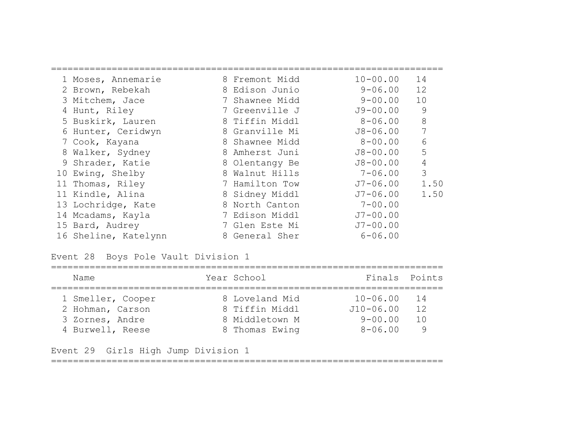| 1 Moses, Annemarie   | 8 Fremont Midd | $10 - 00.00$ | 14   |
|----------------------|----------------|--------------|------|
| 2 Brown, Rebekah     | 8 Edison Junio | $9 - 06.00$  | 12   |
| 3 Mitchem, Jace      | 7 Shawnee Midd | $9 - 00.00$  | 10   |
| 4 Hunt, Riley        | 7 Greenville J | J9-00.00     | 9    |
| 5 Buskirk, Lauren    | 8 Tiffin Middl | $8 - 06.00$  | 8    |
| 6 Hunter, Ceridwyn   | 8 Granville Mi | $J8 - 06.00$ | 7    |
| 7 Cook, Kayana       | 8 Shawnee Midd | $8 - 00.00$  | 6    |
| 8 Walker, Sydney     | 8 Amherst Juni | $J8 - 00.00$ | 5    |
| 9 Shrader, Katie     | 8 Olentangy Be | $J8 - 00.00$ | 4    |
| 10 Ewing, Shelby     | 8 Walnut Hills | $7 - 06.00$  | 3    |
| 11 Thomas, Riley     | 7 Hamilton Tow | J7-06.00     | 1.50 |
| 11 Kindle, Alina     | 8 Sidney Middl | J7-06.00     | 1.50 |
| 13 Lochridge, Kate   | 8 North Canton | $7 - 00.00$  |      |
| 14 Mcadams, Kayla    | 7 Edison Middl | $J7 - 00.00$ |      |
| 15 Bard, Audrey      | 7 Glen Este Mi | $J7 - 00.00$ |      |
| 16 Sheline, Katelynn | 8 General Sher | $6 - 06.00$  |      |

### Event 28 Boys Pole Vault Division 1

| Name              | Year School    | Finals Points |                                   |
|-------------------|----------------|---------------|-----------------------------------|
| 1 Smeller, Cooper | 8 Loveland Mid | $10 - 06.00$  | $\begin{array}{c} 14 \end{array}$ |
| 2 Hohman, Carson  | 8 Tiffin Middl | $J10 - 06.00$ | 12                                |
| 3 Zornes, Andre   | 8 Middletown M | $9 - 00.00$   | 1 N                               |
| 4 Burwell, Reese  | 8 Thomas Ewing | $8 - 06.00$   |                                   |

Event 29 Girls High Jump Division 1

=======================================================================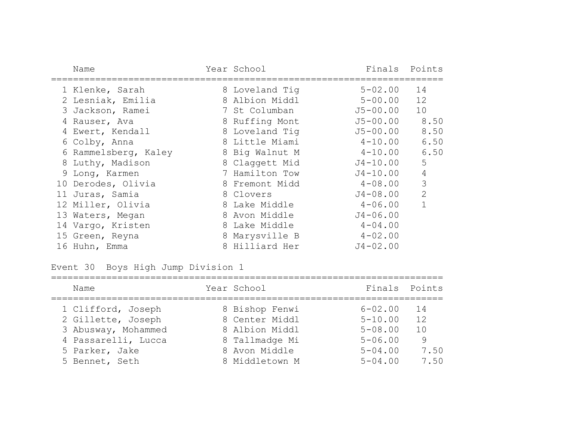| Name                 | Year School    | Finals       | Points       |
|----------------------|----------------|--------------|--------------|
| 1 Klenke, Sarah      | 8 Loveland Tiq | $5 - 02.00$  | 14           |
| 2 Lesniak, Emilia    | 8 Albion Middl | $5 - 00.00$  | 12           |
| 3 Jackson, Ramei     | 7 St Columban  | J5-00.00     | 10           |
| 4 Rauser, Ava        | 8 Ruffing Mont | $J5 - 00.00$ | 8.50         |
| 4 Ewert, Kendall     | 8 Loveland Tig | J5-00.00     | 8.50         |
| 6 Colby, Anna        | 8 Little Miami | $4 - 10.00$  | 6.50         |
| 6 Rammelsberg, Kaley | 8 Big Walnut M | $4 - 10.00$  | 6.50         |
| 8 Luthy, Madison     | 8 Claggett Mid | $J4 - 10.00$ | 5            |
| 9 Long, Karmen       | 7 Hamilton Tow | $J4 - 10.00$ | $\sqrt{4}$   |
| 10 Derodes, Olivia   | 8 Fremont Midd | $4 - 08.00$  | 3            |
| 11 Juras, Samia      | 8 Clovers      | $J4 - 08.00$ | $\mathbf{2}$ |
| 12 Miller, Olivia    | 8 Lake Middle  | $4 - 06.00$  | $\mathbf{1}$ |
| 13 Waters, Megan     | 8 Avon Middle  | $J4 - 06.00$ |              |
| 14 Vargo, Kristen    | 8 Lake Middle  | $4 - 04.00$  |              |
| 15 Green, Reyna      | 8 Marysville B | $4 - 02.00$  |              |
| 16 Huhn, Emma        | 8 Hilliard Her | $J4 - 02.00$ |              |

Event 30 Boys High Jump Division 1

| Name                | Year School    | Finals Points |      |
|---------------------|----------------|---------------|------|
| 1 Clifford, Joseph  | 8 Bishop Fenwi | $6 - 02.00$   | - 14 |
| 2 Gillette, Joseph  | 8 Center Middl | $5 - 10.00$   | 12   |
| 3 Abusway, Mohammed | 8 Albion Middl | $5 - 08.00$   | 1 O  |
| 4 Passarelli, Lucca | 8 Tallmadge Mi | $5 - 06.00$   | 9    |
| 5 Parker, Jake      | 8 Avon Middle  | $5 - 04.00$   | 7.50 |
| 5 Bennet, Seth      | 8 Middletown M | $5 - 04.00$   | 7.50 |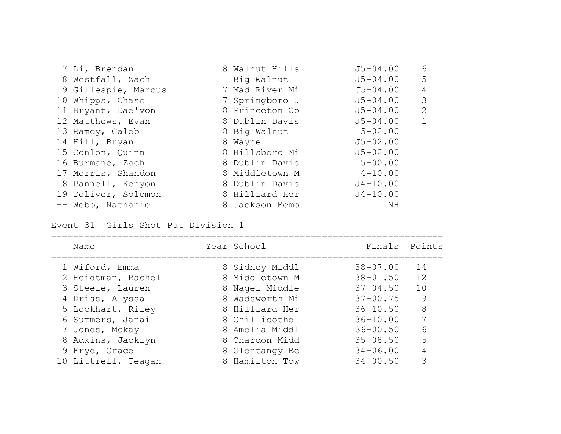| 7 Li, Brendan       | 8 Walnut Hills | $J5 - 04.00$ | 6              |
|---------------------|----------------|--------------|----------------|
| 8 Westfall, Zach    | Big Walnut     | $J5 - 04.00$ | 5              |
| 9 Gillespie, Marcus | 7 Mad River Mi | $J5 - 04.00$ | 4              |
| 10 Whipps, Chase    | 7 Springboro J | $J5 - 04.00$ | 3              |
| 11 Bryant, Dae'von  | 8 Princeton Co | $J5 - 04.00$ | $\overline{2}$ |
| 12 Matthews, Evan   | 8 Dublin Davis | $J5 - 04.00$ |                |
| 13 Ramey, Caleb     | 8 Big Walnut   | $5 - 02.00$  |                |
| 14 Hill, Bryan      | 8 Wayne        | $J5 - 02.00$ |                |
| 15 Conlon, Quinn    | 8 Hillsboro Mi | $J5 - 02.00$ |                |
| 16 Burmane, Zach    | 8 Dublin Davis | $5 - 00.00$  |                |
| 17 Morris, Shandon  | 8 Middletown M | $4 - 10.00$  |                |
| 18 Pannell, Kenyon  | 8 Dublin Davis | $J4 - 10.00$ |                |
| 19 Toliver, Solomon | 8 Hilliard Her | $J4 - 10.00$ |                |
| -- Webb, Nathaniel  | 8 Jackson Memo | NH           |                |

Event 31 Girls Shot Put Division 1

| Name                                 | Year School                      | Finals Points                |          |
|--------------------------------------|----------------------------------|------------------------------|----------|
| 1 Wiford, Emma<br>2 Heidtman, Rachel | 8 Sidney Middl<br>8 Middletown M | $38 - 07.00$<br>$38 - 01.50$ | 14<br>12 |
| 3 Steele, Lauren                     | 8 Nagel Middle                   | $37 - 04.50$                 | 10       |
| 4 Driss, Alyssa                      | 8 Wadsworth Mi                   | $37 - 00.75$                 | 9        |
| 5 Lockhart, Riley                    | 8 Hilliard Her                   | $36 - 10.50$                 | 8        |
| 6 Summers, Janai                     | 8 Chillicothe                    | $36 - 10.00$                 | 7        |
| 7 Jones, Mckay                       | 8 Amelia Middl                   | $36 - 00.50$                 | 6        |
| 8 Adkins, Jacklyn                    | 8 Chardon Midd                   | $35 - 08.50$                 | 5        |
| 9 Frye, Grace                        | 8 Olentangy Be                   | $34 - 06.00$                 | 4        |
| 10 Littrell, Teagan                  | 8 Hamilton Tow                   | $34 - 00.50$                 | 3        |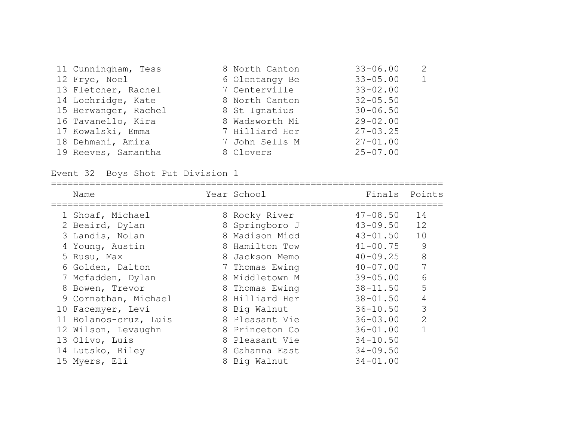| 11 Cunningham, Tess  | 8 North Canton | $33 - 06.00$ | $\mathcal{L}$  |
|----------------------|----------------|--------------|----------------|
| 12 Frye, Noel        | 6 Olentangy Be | $33 - 05.00$ | $\overline{1}$ |
| 13 Fletcher, Rachel  | 7 Centerville  | $33 - 02.00$ |                |
| 14 Lochridge, Kate   | 8 North Canton | $32 - 05.50$ |                |
| 15 Berwanger, Rachel | 8 St Ignatius  | $30 - 06.50$ |                |
| 16 Tavanello, Kira   | 8 Wadsworth Mi | $29 - 02.00$ |                |
| 17 Kowalski, Emma    | 7 Hilliard Her | $27 - 03.25$ |                |
| 18 Dehmani, Amira    | 7 John Sells M | $27 - 01.00$ |                |
| 19 Reeves, Samantha  | 8 Clovers      | $25 - 07.00$ |                |

# Event 32 Boys Shot Put Division 1

| Name                  | Year School    |              | Finals Points  |
|-----------------------|----------------|--------------|----------------|
| 1 Shoaf, Michael      | 8 Rocky River  | $47 - 08.50$ | 14             |
| 2 Beaird, Dylan       | 8 Springboro J | $43 - 09.50$ | 12             |
| 3 Landis, Nolan       | 8 Madison Midd | $43 - 01.50$ | 10             |
| 4 Young, Austin       | 8 Hamilton Tow | $41 - 00.75$ | 9              |
| 5 Rusu, Max           | 8 Jackson Memo | $40 - 09.25$ | 8              |
| 6 Golden, Dalton      | 7 Thomas Ewing | $40 - 07.00$ | 7              |
| 7 Mcfadden, Dylan     | 8 Middletown M | $39 - 05.00$ | 6              |
| 8 Bowen, Trevor       | 8 Thomas Ewing | $38 - 11.50$ | 5              |
| 9 Cornathan, Michael  | 8 Hilliard Her | $38 - 01.50$ | 4              |
| 10 Facemyer, Levi     | 8 Big Walnut   | $36 - 10.50$ | 3              |
| 11 Bolanos-cruz, Luis | 8 Pleasant Vie | $36 - 03.00$ | $\overline{2}$ |
| 12 Wilson, Levaughn   | 8 Princeton Co | $36 - 01.00$ |                |
| 13 Olivo, Luis        | 8 Pleasant Vie | $34 - 10.50$ |                |
| 14 Lutsko, Riley      | 8 Gahanna East | $34 - 09.50$ |                |
| 15 Myers, Eli         | 8 Big Walnut   | $34 - 01.00$ |                |
|                       |                |              |                |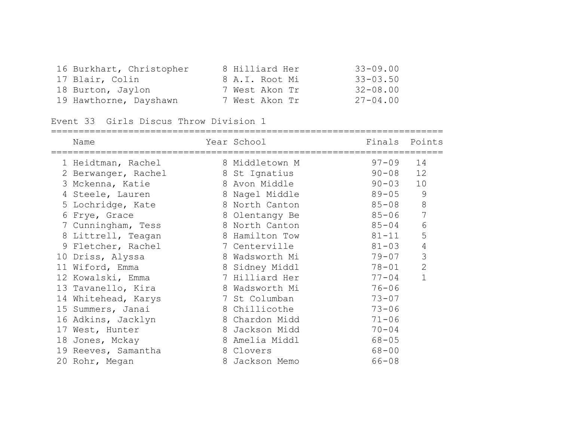| 16 Burkhart, Christopher | 8 Hilliard Her | $33 - 09.00$ |
|--------------------------|----------------|--------------|
| 17 Blair, Colin          | 8 A.I. Root Mi | $33 - 03.50$ |
| 18 Burton, Jaylon        | 7 West Akon Tr | $32 - 08.00$ |
| 19 Hawthorne, Dayshawn   | 7 West Akon Tr | $27 - 04.00$ |

Event 33 Girls Discus Throw Division 1

|    | Name                | Year School    | Finals    | Points        |
|----|---------------------|----------------|-----------|---------------|
|    | 1 Heidtman, Rachel  | 8 Middletown M | $97 - 09$ | 14            |
|    | 2 Berwanger, Rachel | 8 St Ignatius  | $90 - 08$ | 12            |
|    | 3 Mckenna, Katie    | 8 Avon Middle  | $90 - 03$ | 10            |
|    | 4 Steele, Lauren    | 8 Nagel Middle | $89 - 05$ | $\mathcal{G}$ |
|    | 5 Lochridge, Kate   | 8 North Canton | $85 - 08$ | 8             |
| 6  | Frye, Grace         | 8 Olentangy Be | $85 - 06$ | 7             |
|    | 7 Cunningham, Tess  | 8 North Canton | $85 - 04$ | 6             |
|    | 8 Littrell, Teagan  | 8 Hamilton Tow | $81 - 11$ | 5             |
|    | 9 Fletcher, Rachel  | 7 Centerville  | $81 - 03$ | $\sqrt{4}$    |
| 10 | Driss, Alyssa       | 8 Wadsworth Mi | 79-07     | 3             |
|    | 11 Wiford, Emma     | 8 Sidney Middl | $78 - 01$ | $\mathbf{2}$  |
|    | 12 Kowalski, Emma   | 7 Hilliard Her | $77 - 04$ |               |
|    | 13 Tavanello, Kira  | 8 Wadsworth Mi | $76 - 06$ |               |
|    | 14 Whitehead, Karys | 7 St Columban  | $73 - 07$ |               |
|    | 15 Summers, Janai   | 8 Chillicothe  | $73 - 06$ |               |
|    | 16 Adkins, Jacklyn  | 8 Chardon Midd | $71 - 06$ |               |
|    | 17 West, Hunter     | 8 Jackson Midd | $70 - 04$ |               |
|    | 18 Jones, Mckay     | 8 Amelia Middl | $68 - 05$ |               |
|    | 19 Reeves, Samantha | 8 Clovers      | $68 - 00$ |               |
|    | 20 Rohr, Megan      | 8 Jackson Memo | $66 - 08$ |               |
|    |                     |                |           |               |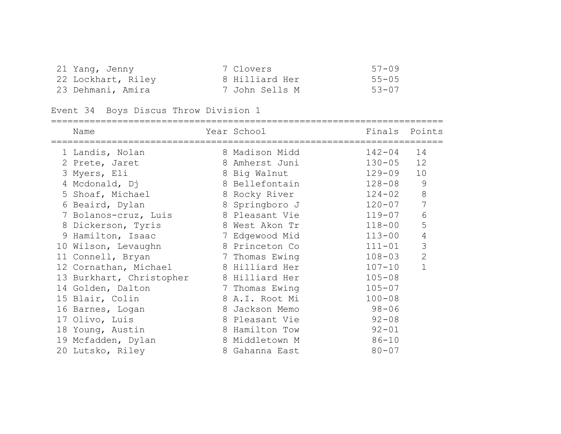| 21 Yang, Jenny     | 7 Clovers      | 57-09     |
|--------------------|----------------|-----------|
| 22 Lockhart, Riley | 8 Hilliard Her | $55 - 05$ |
| 23 Dehmani, Amira  | 7 John Sells M | 53-07     |

Event 34 Boys Discus Throw Division 1

| Name                     | Year School<br>:================= | Finals     | Points         |
|--------------------------|-----------------------------------|------------|----------------|
| 1 Landis, Nolan          | 8 Madison Midd                    | 142-04     | 14             |
| 2 Prete, Jaret           | 8 Amherst Juni                    | $130 - 05$ | 12             |
| 3 Myers, Eli             | 8 Big Walnut                      | $129 - 09$ | 10             |
| 4 Mcdonald, Dj           | 8 Bellefontain                    | $128 - 08$ | 9              |
| 5 Shoaf, Michael         | 8 Rocky River                     | $124 - 02$ | 8              |
| 6 Beaird, Dylan          | 8 Springboro J                    | $120 - 07$ | 7              |
| 7 Bolanos-cruz, Luis     | 8 Pleasant Vie                    | $119 - 07$ | 6              |
| 8 Dickerson, Tyris       | 8 West Akon Tr                    | $118 - 00$ | 5              |
| 9 Hamilton, Isaac        | 7 Edgewood Mid                    | $113 - 00$ | $\sqrt{4}$     |
| 10 Wilson, Levaughn      | 8 Princeton Co                    | $111 - 01$ | 3              |
| 11 Connell, Bryan        | 7 Thomas Ewing                    | $108 - 03$ | $\overline{2}$ |
| 12 Cornathan, Michael    | 8 Hilliard Her                    | $107 - 10$ | $\mathbf{1}$   |
| 13 Burkhart, Christopher | 8 Hilliard Her                    | $105 - 08$ |                |
| 14 Golden, Dalton        | 7 Thomas Ewing                    | $105 - 07$ |                |
| 15 Blair, Colin          | 8 A.I. Root Mi                    | $100 - 08$ |                |
| 16 Barnes, Logan         | 8 Jackson Memo                    | $98 - 06$  |                |
| 17 Olivo, Luis           | 8 Pleasant Vie                    | $92 - 08$  |                |
| 18 Young, Austin         | 8 Hamilton Tow                    | $92 - 01$  |                |
| 19 Mcfadden, Dylan       | 8 Middletown M                    | $86 - 10$  |                |
| 20 Lutsko, Riley         | 8 Gahanna East                    | $80 - 07$  |                |
|                          |                                   |            |                |